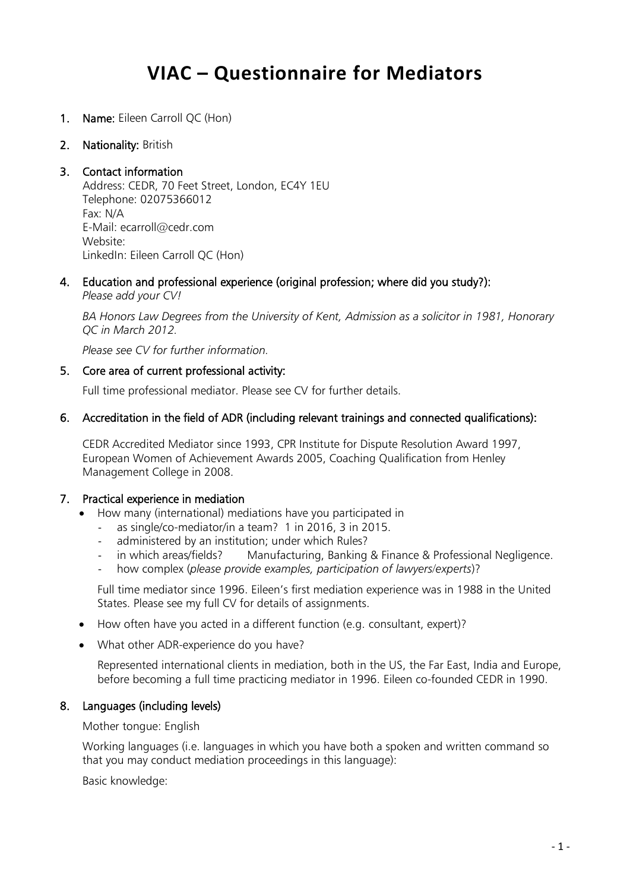# **VIAC – Questionnaire for Mediators**

- 1. Name: Eileen Carroll QC (Hon)
- 2. Nationality: British

#### 3. Contact information

Address: CEDR, 70 Feet Street, London, EC4Y 1EU Telephone: 02075366012 Fax: N/A E-Mail: ecarroll@cedr.com Website: LinkedIn: Eileen Carroll QC (Hon)

4. Education and professional experience (original profession; where did you study?):  *Please add your CV!*

*BA Honors Law Degrees from the University of Kent, Admission as a solicitor in 1981, Honorary QC in March 2012.* 

*Please see CV for further information.* 

#### 5. Core area of current professional activity:

Full time professional mediator. Please see CV for further details.

#### 6. Accreditation in the field of ADR (including relevant trainings and connected qualifications):

CEDR Accredited Mediator since 1993, CPR Institute for Dispute Resolution Award 1997, European Women of Achievement Awards 2005, Coaching Qualification from Henley Management College in 2008.

#### 7. Practical experience in mediation

- How many (international) mediations have you participated in
	- as single/co-mediator/in a team? 1 in 2016, 3 in 2015.
	- administered by an institution; under which Rules?
	- in which areas/fields? Manufacturing, Banking & Finance & Professional Negligence.
	- how complex (*please provide examples, participation of lawyers/experts*)?

Full time mediator since 1996. Eileen's first mediation experience was in 1988 in the United States. Please see my full CV for details of assignments.

- How often have you acted in a different function (e.g. consultant, expert)?
- What other ADR-experience do you have?

Represented international clients in mediation, both in the US, the Far East, India and Europe, before becoming a full time practicing mediator in 1996. Eileen co-founded CEDR in 1990.

#### 8. Languages (including levels)

Mother tongue: English

Working languages (i.e. languages in which you have both a spoken and written command so that you may conduct mediation proceedings in this language):

Basic knowledge: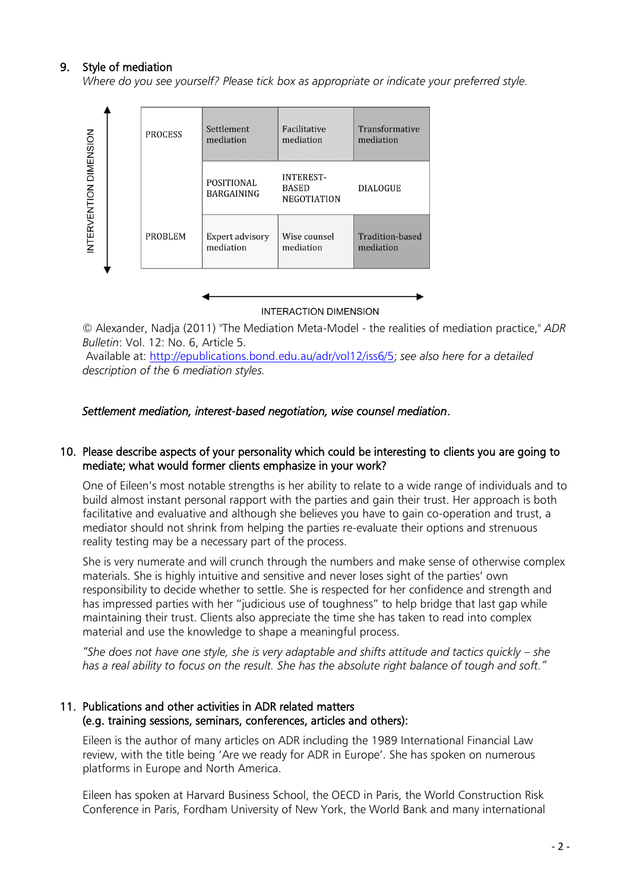### 9. Style of mediation

*Where do you see yourself? Please tick box as appropriate or indicate your preferred style.*



**INTERACTION DIMENSION** 

*©* Alexander, Nadja (2011) "The Mediation Meta-Model - the realities of mediation practice," *ADR Bulletin*: Vol. 12: No. 6, Article 5.

Available at: [http://epublications.bond.edu.au/adr/vol12/iss6/5;](http://epublications.bond.edu.au/adr/vol12/iss6/5) *see also here for a detailed description of the 6 mediation styles.*

#### *Settlement mediation, interest-based negotiation, wise counsel mediation*.

#### 10. Please describe aspects of your personality which could be interesting to clients you are going to mediate; what would former clients emphasize in your work?

One of Eileen's most notable strengths is her ability to relate to a wide range of individuals and to build almost instant personal rapport with the parties and gain their trust. Her approach is both facilitative and evaluative and although she believes you have to gain co-operation and trust, a mediator should not shrink from helping the parties re-evaluate their options and strenuous reality testing may be a necessary part of the process.

She is very numerate and will crunch through the numbers and make sense of otherwise complex materials. She is highly intuitive and sensitive and never loses sight of the parties' own responsibility to decide whether to settle. She is respected for her confidence and strength and has impressed parties with her "judicious use of toughness" to help bridge that last gap while maintaining their trust. Clients also appreciate the time she has taken to read into complex material and use the knowledge to shape a meaningful process.

*"She does not have one style, she is very adaptable and shifts attitude and tactics quickly – she has a real ability to focus on the result. She has the absolute right balance of tough and soft."*

#### 11. Publications and other activities in ADR related matters (e.g. training sessions, seminars, conferences, articles and others):

Eileen is the author of many articles on ADR including the 1989 International Financial Law review, with the title being 'Are we ready for ADR in Europe'. She has spoken on numerous platforms in Europe and North America.

Eileen has spoken at Harvard Business School, the OECD in Paris, the World Construction Risk Conference in Paris, Fordham University of New York, the World Bank and many international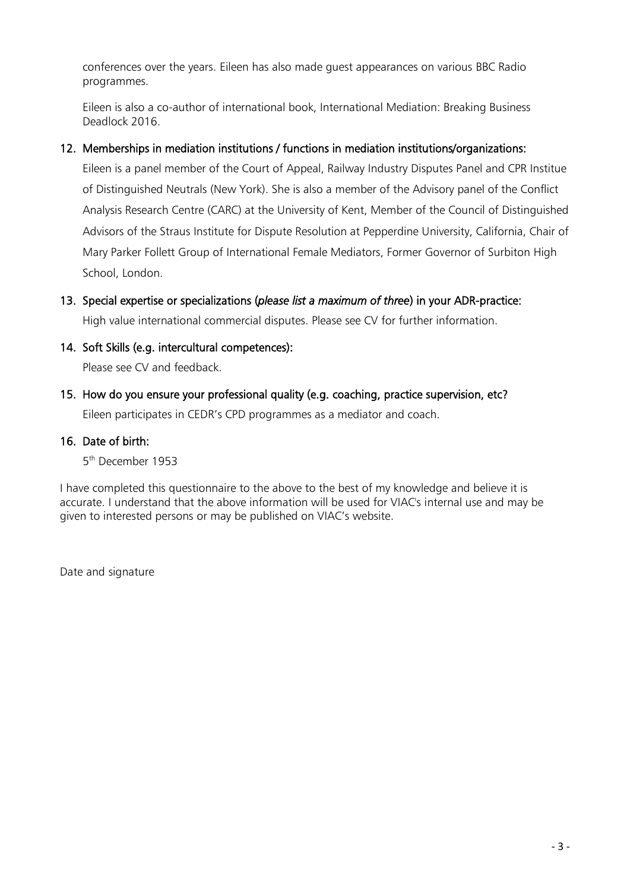conferences over the years. Eileen has also made guest appearances on various BBC Radio programmes.

Eileen is also a co-author of international book, International Mediation: Breaking Business Deadlock 2016.

### 12. Memberships in mediation institutions / functions in mediation institutions/organizations:

Eileen is a panel member of the Court of Appeal, Railway Industry Disputes Panel and CPR Institue of Distinguished Neutrals (New York). She is also a member of the Advisory panel of the Conflict Analysis Research Centre (CARC) at the University of Kent, Member of the Council of Distinguished Advisors of the Straus Institute for Dispute Resolution at Pepperdine University, California, Chair of Mary Parker Follett Group of International Female Mediators, Former Governor of Surbiton High School, London.

### 13. Special expertise or specializations (*please list a maximum of three*) in your ADR-practice: High value international commercial disputes. Please see CV for further information.

14. Soft Skills (e.g. intercultural competences):

Please see CV and feedback.

15. How do you ensure your professional quality (e.g. coaching, practice supervision, etc? Eileen participates in CEDR's CPD programmes as a mediator and coach.

### 16. Date of birth:

5 th December 1953

I have completed this questionnaire to the above to the best of my knowledge and believe it is accurate. I understand that the above information will be used for VIAC's internal use and may be given to interested persons or may be published on VIAC's website.

Date and signature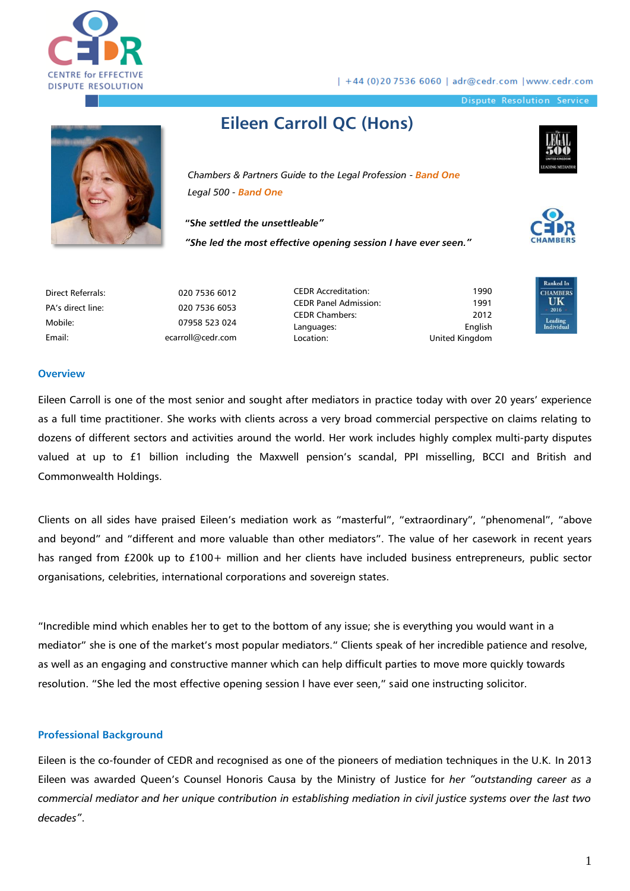

| +44 (0)20 7536 6060 | adr@cedr.com | www.cedr.com

Dispute Resolution Service



# **Eileen Carroll QC (Hons)**

*Chambers & Partners Guide to the Legal Profession - Band One Legal 500 - Band One*

**"S***he settled the unsettleable"*

*"She led the most effective opening session I have ever seen."*





| Direct Referrals: | 020 7536 6012     |
|-------------------|-------------------|
| PA's direct line: | 020 7536 6053     |
| Mobile:           | 07958 523 024     |
| Email:            | ecarroll@cedr.com |

CEDR Accreditation: CEDR Panel Admission: CEDR Chambers: Languages: Location:

1990 **C**  $1991$  U 2012 English United Kingdom



#### **Overview**

Dir PA

Eileen Carroll is one of the most senior and sought after mediators in practice today with over 20 years' experience as a full time practitioner. She works with clients across a very broad commercial perspective on claims relating to dozens of different sectors and activities around the world. Her work includes highly complex multi-party disputes valued at up to £1 billion including the Maxwell pension's scandal, PPI misselling, BCCI and British and Commonwealth Holdings.

Clients on all sides have praised Eileen's mediation work as "masterful", "extraordinary", "phenomenal", "above and beyond" and "different and more valuable than other mediators". The value of her casework in recent years has ranged from £200k up to £100+ million and her clients have included business entrepreneurs, public sector organisations, celebrities, international corporations and sovereign states.

"Incredible mind which enables her to get to the bottom of any issue; she is everything you would want in a mediator" she is one of the market's most popular mediators." Clients speak of her incredible patience and resolve, as well as an engaging and constructive manner which can help difficult parties to move more quickly towards resolution. "She led the most effective opening session I have ever seen," said one instructing solicitor.

#### **Professional Background**

Eileen is the co-founder of CEDR and recognised as one of the pioneers of mediation techniques in the U.K. In 2013 Eileen was awarded Queen's Counsel Honoris Causa by the Ministry of Justice for *her "outstanding career as a commercial mediator and her unique contribution in establishing mediation in civil justice systems over the last two decades"*.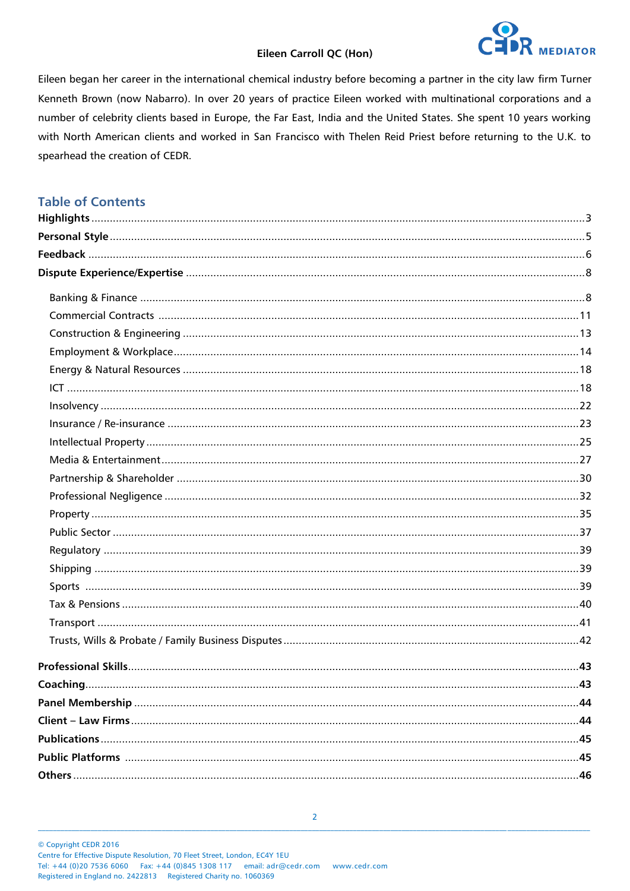

Eileen began her career in the international chemical industry before becoming a partner in the city law firm Turner Kenneth Brown (now Nabarro). In over 20 years of practice Eileen worked with multinational corporations and a number of celebrity clients based in Europe, the Far East, India and the United States. She spent 10 years working with North American clients and worked in San Francisco with Thelen Reid Priest before returning to the U.K. to spearhead the creation of CEDR.

### **Table of Contents**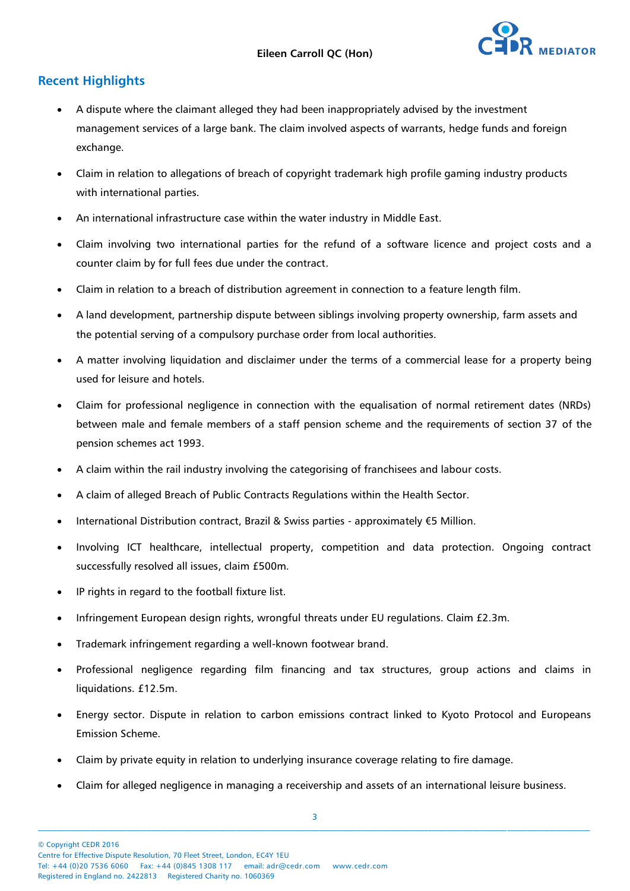

### **Recent Highlights**

- A dispute where the claimant alleged they had been inappropriately advised by the investment management services of a large bank. The claim involved aspects of warrants, hedge funds and foreign exchange.
- Claim in relation to allegations of breach of copyright trademark high profile gaming industry products with international parties.
- An international infrastructure case within the water industry in Middle East.
- Claim involving two international parties for the refund of a software licence and project costs and a counter claim by for full fees due under the contract.
- Claim in relation to a breach of distribution agreement in connection to a feature length film.
- A land development, partnership dispute between siblings involving property ownership, farm assets and the potential serving of a compulsory purchase order from local authorities.
- A matter involving liquidation and disclaimer under the terms of a commercial lease for a property being used for leisure and hotels.
- Claim for professional negligence in connection with the equalisation of normal retirement dates (NRDs) between male and female members of a staff pension scheme and the requirements of section 37 of the pension schemes act 1993.
- A claim within the rail industry involving the categorising of franchisees and labour costs.
- A claim of alleged Breach of Public Contracts Regulations within the Health Sector.
- International Distribution contract, Brazil & Swiss parties approximately €5 Million.
- Involving ICT healthcare, intellectual property, competition and data protection. Ongoing contract successfully resolved all issues, claim £500m.
- IP rights in regard to the football fixture list.
- Infringement European design rights, wrongful threats under EU regulations. Claim £2.3m.
- Trademark infringement regarding a well-known footwear brand.
- Professional negligence regarding film financing and tax structures, group actions and claims in liquidations. £12.5m.
- Energy sector. Dispute in relation to carbon emissions contract linked to Kyoto Protocol and Europeans Emission Scheme.
- Claim by private equity in relation to underlying insurance coverage relating to fire damage.
- Claim for alleged negligence in managing a receivership and assets of an international leisure business.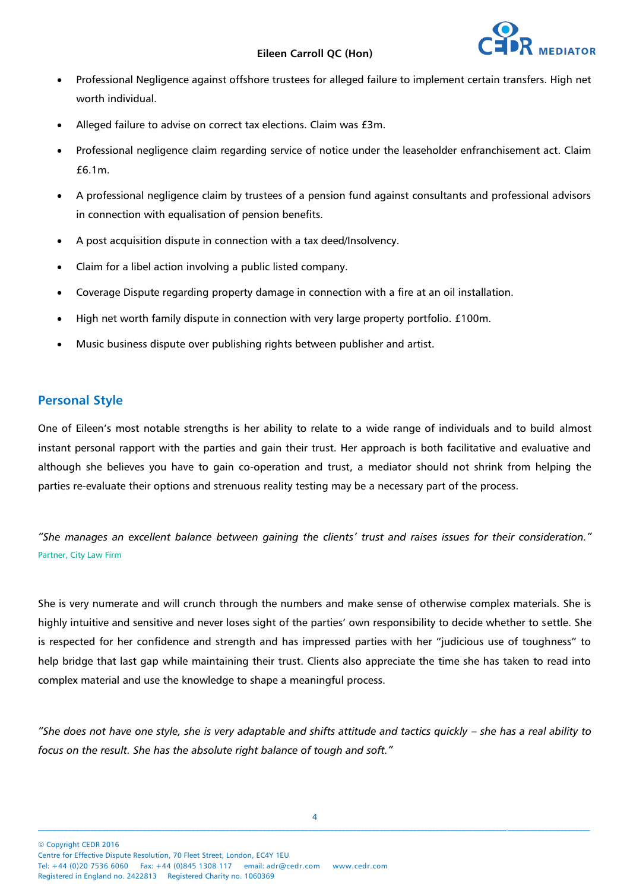- Professional Negligence against offshore trustees for alleged failure to implement certain transfers. High net worth individual.
- Alleged failure to advise on correct tax elections. Claim was £3m.
- Professional negligence claim regarding service of notice under the leaseholder enfranchisement act. Claim £6.1m.
- A professional negligence claim by trustees of a pension fund against consultants and professional advisors in connection with equalisation of pension benefits.
- A post acquisition dispute in connection with a tax deed/Insolvency.
- Claim for a libel action involving a public listed company.
- Coverage Dispute regarding property damage in connection with a fire at an oil installation.
- High net worth family dispute in connection with very large property portfolio. £100m.
- Music business dispute over publishing rights between publisher and artist.

#### **Personal Style**

One of Eileen's most notable strengths is her ability to relate to a wide range of individuals and to build almost instant personal rapport with the parties and gain their trust. Her approach is both facilitative and evaluative and although she believes you have to gain co-operation and trust, a mediator should not shrink from helping the parties re-evaluate their options and strenuous reality testing may be a necessary part of the process*.* 

*"She manages an excellent balance between gaining the clients' trust and raises issues for their consideration."* Partner, City Law Firm

She is very numerate and will crunch through the numbers and make sense of otherwise complex materials. She is highly intuitive and sensitive and never loses sight of the parties' own responsibility to decide whether to settle. She is respected for her confidence and strength and has impressed parties with her "judicious use of toughness" to help bridge that last gap while maintaining their trust. Clients also appreciate the time she has taken to read into complex material and use the knowledge to shape a meaningful process.

*"She does not have one style, she is very adaptable and shifts attitude and tactics quickly – she has a real ability to focus on the result. She has the absolute right balance of tough and soft."*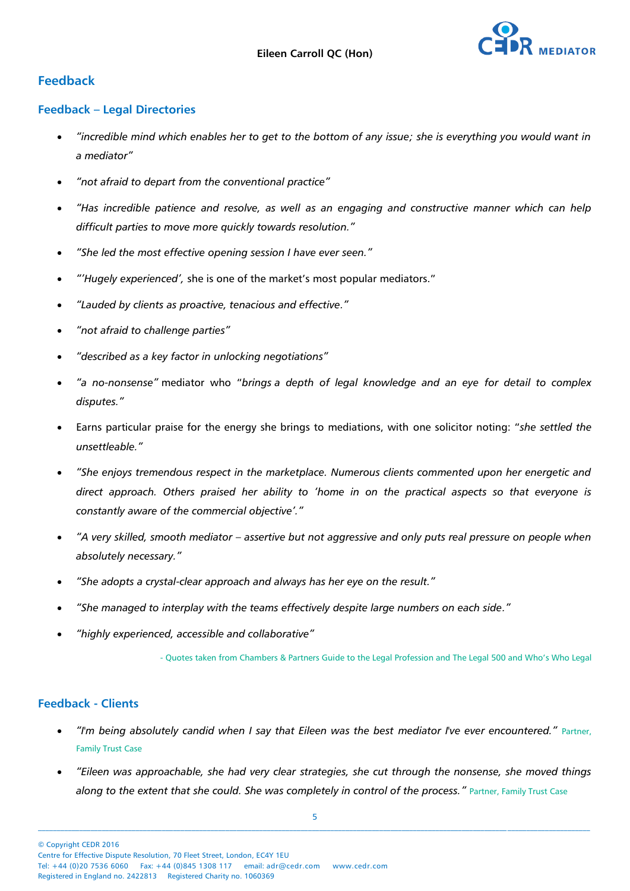

### **Feedback**

#### **Feedback – Legal Directories**

- *"incredible mind which enables her to get to the bottom of any issue; she is everything you would want in a mediator"*
- *"not afraid to depart from the conventional practice"*
- *"Has incredible patience and resolve, as well as an engaging and constructive manner which can help difficult parties to move more quickly towards resolution."*
- *"She led the most effective opening session I have ever seen."*
- *"'Hugely experienced',* she is one of the market's most popular mediators."
- *"Lauded by clients as proactive, tenacious and effective."*
- *"not afraid to challenge parties"*
- *"described as a key factor in unlocking negotiations"*
- *"a no-nonsense"* mediator who "*brings a depth of legal knowledge and an eye for detail to complex disputes."*
- Earns particular praise for the energy she brings to mediations, with one solicitor noting: "*she settled the unsettleable."*
- *"She enjoys tremendous respect in the marketplace. Numerous clients commented upon her energetic and direct approach. Others praised her ability to 'home in on the practical aspects so that everyone is constantly aware of the commercial objective'."*
- *"A very skilled, smooth mediator – assertive but not aggressive and only puts real pressure on people when absolutely necessary."*
- *"She adopts a crystal-clear approach and always has her eye on the result."*
- *"She managed to interplay with the teams effectively despite large numbers on each side."*
- *"highly experienced, accessible and collaborative"*

- Quotes taken from Chambers & Partners Guide to the Legal Profession and The Legal 500 and Who's Who Legal

#### **Feedback - Clients**

- *"I'm being absolutely candid when I say that Eileen was the best mediator I've ever encountered."* Partner, Family Trust Case
- *"Eileen was approachable, she had very clear strategies, she cut through the nonsense, she moved things along to the extent that she could. She was completely in control of the process."* Partner, Family Trust Case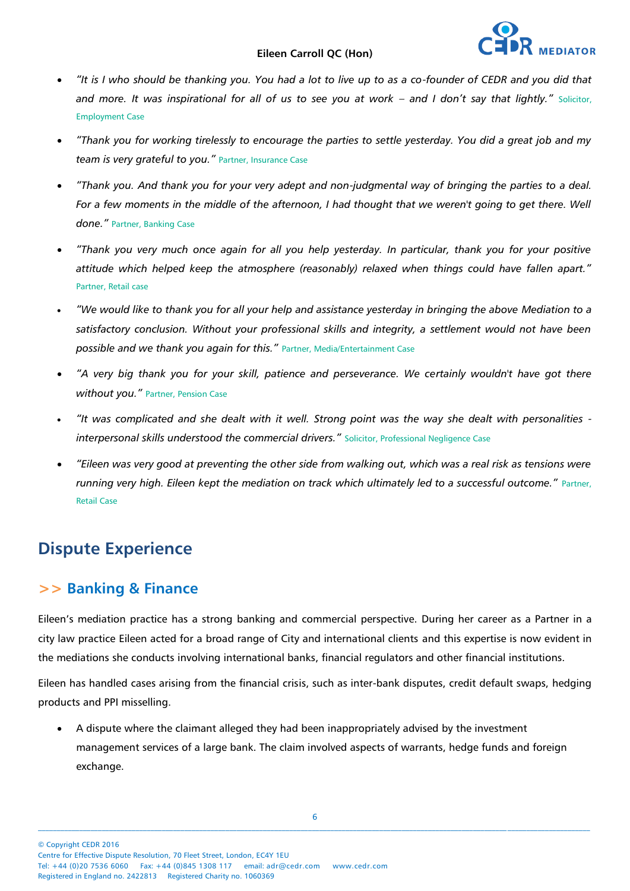

- *"It is I who should be thanking you. You had a lot to live up to as a co-founder of CEDR and you did that*  and more. It was inspirational for all of us to see you at work - and I don't say that lightly." Solicitor, Employment Case
- *"Thank you for working tirelessly to encourage the parties to settle yesterday. You did a great job and my team is very grateful to you."* Partner, Insurance Case
- *"Thank you. And thank you for your very adept and non-judgmental way of bringing the parties to a deal.*  For a few moments in the middle of the afternoon, I had thought that we weren't going to get there. Well *done."* Partner, Banking Case
- *"Thank you very much once again for all you help yesterday. In particular, thank you for your positive attitude which helped keep the atmosphere (reasonably) relaxed when things could have fallen apart."*  Partner, Retail case
- *"We would like to thank you for all your help and assistance yesterday in bringing the above Mediation to a satisfactory conclusion. Without your professional skills and integrity, a settlement would not have been possible and we thank you again for this."* Partner, Media/Entertainment Case
- *"A very big thank you for your skill, patience and perseverance. We certainly wouldn't have got there without you."* Partner, Pension Case
- *"It was complicated and she dealt with it well. Strong point was the way she dealt with personalities interpersonal skills understood the commercial drivers."* Solicitor, Professional Negligence Case
- *"Eileen was very good at preventing the other side from walking out, which was a real risk as tensions were running very high. Eileen kept the mediation on track which ultimately led to a successful outcome."* Partner, Retail Case

# **Dispute Experience**

## **>> Banking & Finance**

Eileen's mediation practice has a strong banking and commercial perspective. During her career as a Partner in a city law practice Eileen acted for a broad range of City and international clients and this expertise is now evident in the mediations she conducts involving international banks, financial regulators and other financial institutions.

Eileen has handled cases arising from the financial crisis, such as inter-bank disputes, credit default swaps, hedging products and PPI misselling.

 A dispute where the claimant alleged they had been inappropriately advised by the investment management services of a large bank. The claim involved aspects of warrants, hedge funds and foreign exchange.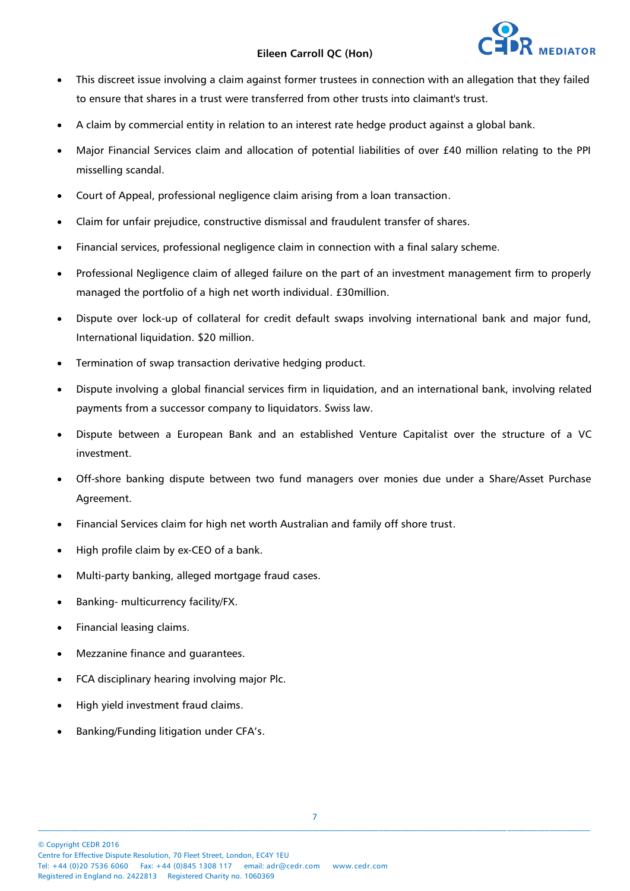

- This discreet issue involving a claim against former trustees in connection with an allegation that they failed to ensure that shares in a trust were transferred from other trusts into claimant's trust.
- A claim by commercial entity in relation to an interest rate hedge product against a global bank.
- Major Financial Services claim and allocation of potential liabilities of over £40 million relating to the PPI misselling scandal.
- Court of Appeal, professional negligence claim arising from a loan transaction.
- Claim for unfair prejudice, constructive dismissal and fraudulent transfer of shares.
- Financial services, professional negligence claim in connection with a final salary scheme.
- Professional Negligence claim of alleged failure on the part of an investment management firm to properly managed the portfolio of a high net worth individual. £30million.
- Dispute over lock-up of collateral for credit default swaps involving international bank and major fund, International liquidation. \$20 million.
- Termination of swap transaction derivative hedging product.
- Dispute involving a global financial services firm in liquidation, and an international bank, involving related payments from a successor company to liquidators. Swiss law.
- Dispute between a European Bank and an established Venture Capitalist over the structure of a VC investment.
- Off-shore banking dispute between two fund managers over monies due under a Share/Asset Purchase Agreement.
- Financial Services claim for high net worth Australian and family off shore trust.
- High profile claim by ex-CEO of a bank.
- Multi-party banking, alleged mortgage fraud cases.
- Banking- multicurrency facility/FX.
- Financial leasing claims.
- Mezzanine finance and guarantees.
- FCA disciplinary hearing involving major Plc.
- High yield investment fraud claims.
- Banking/Funding litigation under CFA's.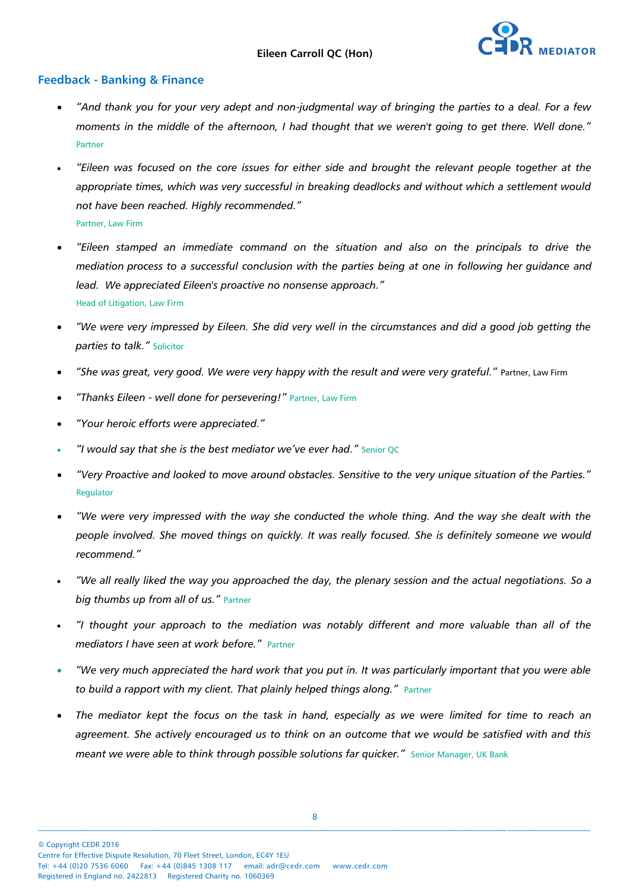

#### **Feedback - Banking & Finance**

- *"And thank you for your very adept and non-judgmental way of bringing the parties to a deal. For a few moments in the middle of the afternoon, I had thought that we weren't going to get there. Well done."*  Partner
- *"Eileen was focused on the core issues for either side and brought the relevant people together at the appropriate times, which was very successful in breaking deadlocks and without which a settlement would not have been reached. Highly recommended."* Partner, Law Firm
- *"Eileen stamped an immediate command on the situation and also on the principals to drive the mediation process to a successful conclusion with the parties being at one in following her guidance and lead. We appreciated Eileen's proactive no nonsense approach."*  Head of Litigation, Law Firm
- *"We were very impressed by Eileen. She did very well in the circumstances and did a good job getting the parties to talk."* Solicitor
- *"She was great, very good. We were very happy with the result and were very grateful."* Partner, Law Firm
- *"Thanks Eileen - well done for persevering!"* Partner, Law Firm
- *"Your heroic efforts were appreciated."*
- *"I would say that she is the best mediator we've ever had."* Senior QC
- *"Very Proactive and looked to move around obstacles. Sensitive to the very unique situation of the Parties."*  Regulator
- *"We were very impressed with the way she conducted the whole thing. And the way she dealt with the people involved. She moved things on quickly. It was really focused. She is definitely someone we would recommend."*
- *"We all really liked the way you approached the day, the plenary session and the actual negotiations. So a big thumbs up from all of us."* Partner
- *"I thought your approach to the mediation was notably different and more valuable than all of the mediators I have seen at work before."* Partner
- *"We very much appreciated the hard work that you put in. It was particularly important that you were able to build a rapport with my client. That plainly helped things along.*" Partner
- *The mediator kept the focus on the task in hand, especially as we were limited for time to reach an agreement. She actively encouraged us to think on an outcome that we would be satisfied with and this meant we were able to think through possible solutions far quicker."* **Senior Manager, UK Bank**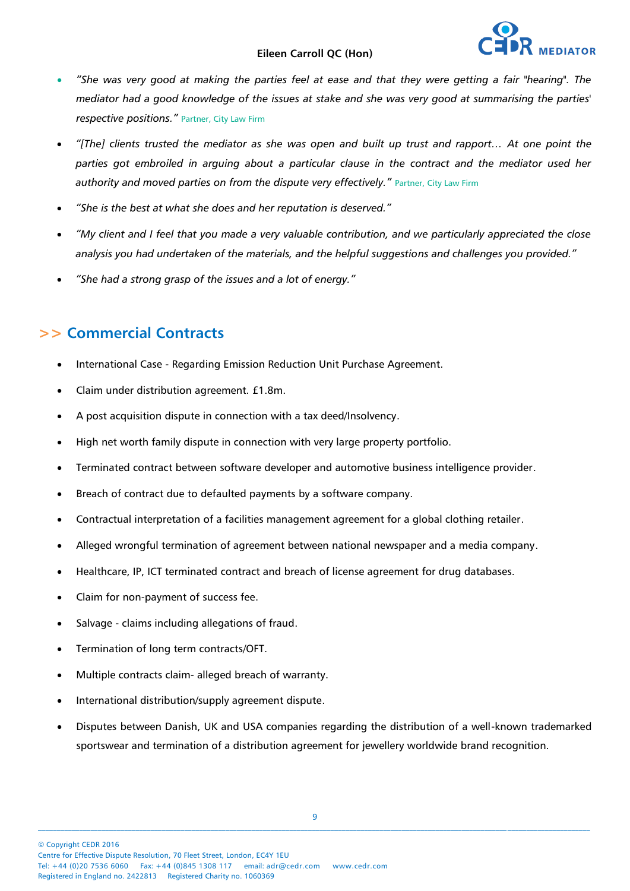- *"She was very good at making the parties feel at ease and that they were getting a fair "hearing". The mediator had a good knowledge of the issues at stake and she was very good at summarising the parties' respective positions."* Partner, City Law Firm
- *"[The] clients trusted the mediator as she was open and built up trust and rapport… At one point the parties got embroiled in arguing about a particular clause in the contract and the mediator used her*  authority and moved parties on from the dispute very effectively." Partner, City Law Firm
- *"She is the best at what she does and her reputation is deserved."*
- *"My client and I feel that you made a very valuable contribution, and we particularly appreciated the close analysis you had undertaken of the materials, and the helpful suggestions and challenges you provided."*
- *"She had a strong grasp of the issues and a lot of energy."*

## **>> Commercial Contracts**

- International Case Regarding Emission Reduction Unit Purchase Agreement.
- Claim under distribution agreement. £1.8m.
- A post acquisition dispute in connection with a tax deed/Insolvency.
- High net worth family dispute in connection with very large property portfolio.
- Terminated contract between software developer and automotive business intelligence provider.
- Breach of contract due to defaulted payments by a software company.
- Contractual interpretation of a facilities management agreement for a global clothing retailer.
- Alleged wrongful termination of agreement between national newspaper and a media company.
- Healthcare, IP, ICT terminated contract and breach of license agreement for drug databases.
- Claim for non-payment of success fee.
- Salvage claims including allegations of fraud.
- Termination of long term contracts/OFT.
- Multiple contracts claim- alleged breach of warranty.
- International distribution/supply agreement dispute.
- Disputes between Danish, UK and USA companies regarding the distribution of a well-known trademarked sportswear and termination of a distribution agreement for jewellery worldwide brand recognition.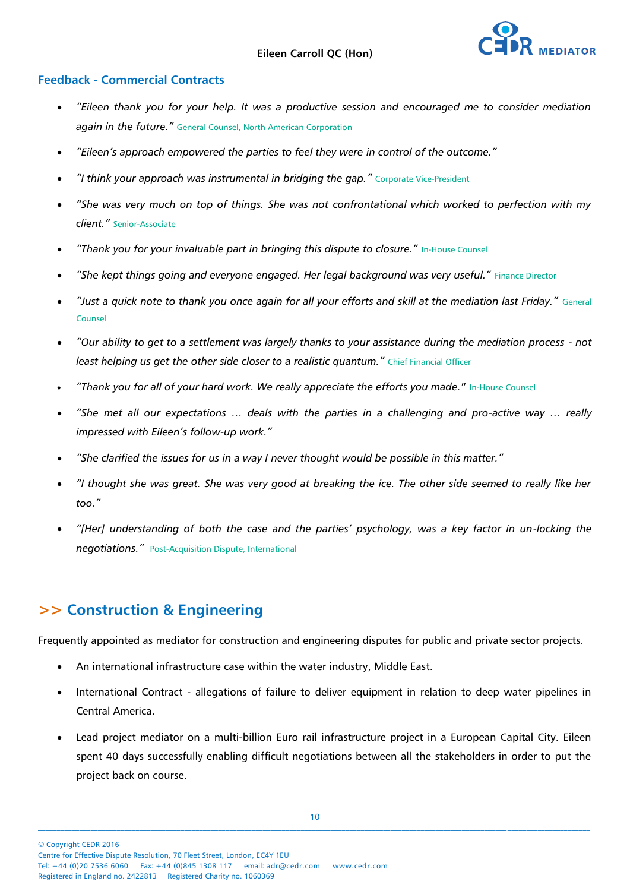

#### **Feedback - Commercial Contracts**

- *"Eileen thank you for your help. It was a productive session and encouraged me to consider mediation again in the future."* General Counsel, North American Corporation
- *"Eileen's approach empowered the parties to feel they were in control of the outcome."*
- *"I think your approach was instrumental in bridging the gap."* Corporate Vice-President
- *"She was very much on top of things. She was not confrontational which worked to perfection with my client."* Senior-Associate
- *"Thank you for your invaluable part in bringing this dispute to closure."* In-House Counsel
- *"She kept things going and everyone engaged. Her legal background was very useful."* Finance Director
- *"Just a quick note to thank you once again for all your efforts and skill at the mediation last Friday."* General Counsel
- *"Our ability to get to a settlement was largely thanks to your assistance during the mediation process - not least helping us get the other side closer to a realistic quantum."* Chief Financial Officer
- *"Thank you for all of your hard work. We really appreciate the efforts you made.*" In-House Counsel
- *"She met all our expectations … deals with the parties in a challenging and pro-active way … really impressed with Eileen's follow-up work."*
- *"She clarified the issues for us in a way I never thought would be possible in this matter."*
- *"I thought she was great. She was very good at breaking the ice. The other side seemed to really like her too."*
- *"[Her] understanding of both the case and the parties' psychology, was a key factor in un-locking the negotiations."* Post-Acquisition Dispute, International

## **>> Construction & Engineering**

Frequently appointed as mediator for construction and engineering disputes for public and private sector projects.

- An international infrastructure case within the water industry, Middle East.
- International Contract allegations of failure to deliver equipment in relation to deep water pipelines in Central America.
- Lead project mediator on a multi-billion Euro rail infrastructure project in a European Capital City. Eileen spent 40 days successfully enabling difficult negotiations between all the stakeholders in order to put the project back on course.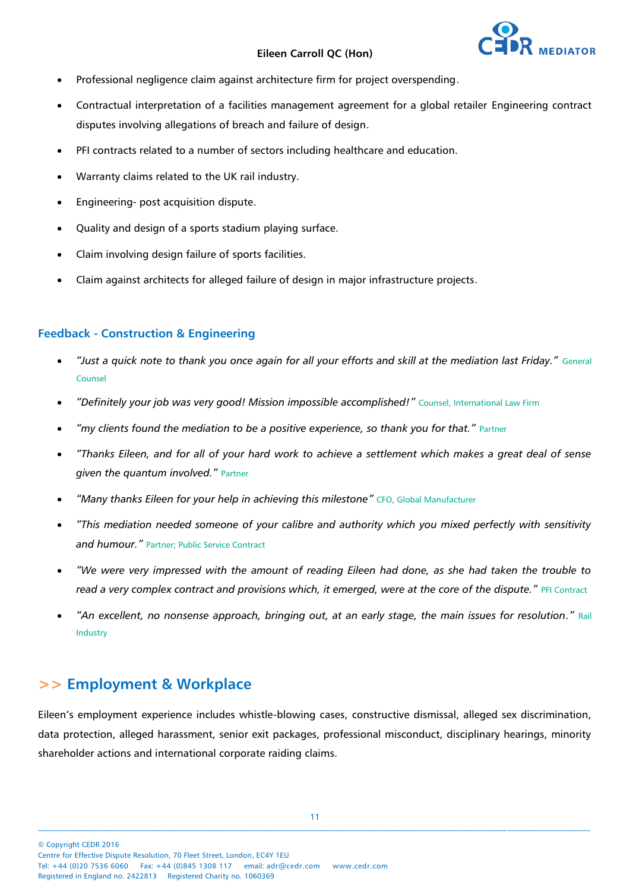

- Professional negligence claim against architecture firm for project overspending.
- Contractual interpretation of a facilities management agreement for a global retailer Engineering contract disputes involving allegations of breach and failure of design.
- PFI contracts related to a number of sectors including healthcare and education.
- Warranty claims related to the UK rail industry.
- Engineering- post acquisition dispute.
- Quality and design of a sports stadium playing surface.
- Claim involving design failure of sports facilities.
- Claim against architects for alleged failure of design in major infrastructure projects.

#### **Feedback - Construction & Engineering**

- *"Just a quick note to thank you once again for all your efforts and skill at the mediation last Friday."* General Counsel
- *"Definitely your job was very good! Mission impossible accomplished!"* Counsel, International Law Firm
- *"my clients found the mediation to be a positive experience, so thank you for that."* Partner
- *"Thanks Eileen, and for all of your hard work to achieve a settlement which makes a great deal of sense given the quantum involved."* Partner
- *"Many thanks Eileen for your help in achieving this milestone"* CFO, Global Manufacturer
- *"This mediation needed someone of your calibre and authority which you mixed perfectly with sensitivity and humour."* Partner; Public Service Contract
- *"We were very impressed with the amount of reading Eileen had done, as she had taken the trouble to read a very complex contract and provisions which, it emerged, were at the core of the dispute." PFI Contract*
- *"An excellent, no nonsense approach, bringing out, at an early stage, the main issues for resolution."* Rail Industry

## **>> Employment & Workplace**

Eileen's employment experience includes whistle-blowing cases, constructive dismissal, alleged sex discrimination, data protection, alleged harassment, senior exit packages, professional misconduct, disciplinary hearings, minority shareholder actions and international corporate raiding claims.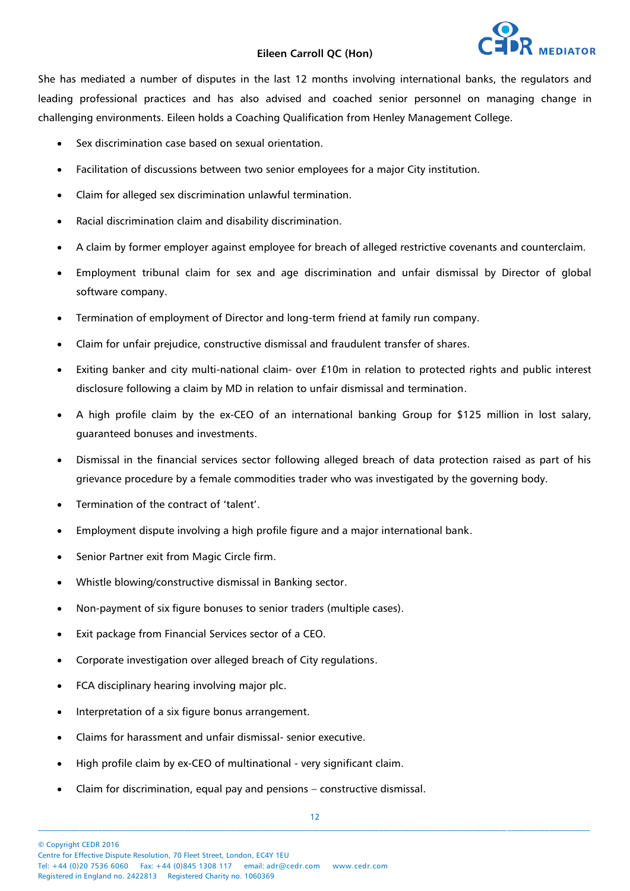She has mediated a number of disputes in the last 12 months involving international banks, the regulators and leading professional practices and has also advised and coached senior personnel on managing change in challenging environments. Eileen holds a Coaching Qualification from Henley Management College.

- Sex discrimination case based on sexual orientation.
- Facilitation of discussions between two senior employees for a major City institution.
- Claim for alleged sex discrimination unlawful termination.
- Racial discrimination claim and disability discrimination.
- A claim by former employer against employee for breach of alleged restrictive covenants and counterclaim.
- Employment tribunal claim for sex and age discrimination and unfair dismissal by Director of global software company.
- Termination of employment of Director and long-term friend at family run company.
- Claim for unfair prejudice, constructive dismissal and fraudulent transfer of shares.
- Exiting banker and city multi-national claim- over £10m in relation to protected rights and public interest disclosure following a claim by MD in relation to unfair dismissal and termination.
- A high profile claim by the ex-CEO of an international banking Group for \$125 million in lost salary, guaranteed bonuses and investments.
- Dismissal in the financial services sector following alleged breach of data protection raised as part of his grievance procedure by a female commodities trader who was investigated by the governing body.
- Termination of the contract of 'talent'.
- Employment dispute involving a high profile figure and a major international bank.
- Senior Partner exit from Magic Circle firm.
- Whistle blowing/constructive dismissal in Banking sector.
- Non-payment of six figure bonuses to senior traders (multiple cases).
- Exit package from Financial Services sector of a CEO.
- Corporate investigation over alleged breach of City regulations.
- FCA disciplinary hearing involving major plc.
- Interpretation of a six figure bonus arrangement.
- Claims for harassment and unfair dismissal- senior executive.
- High profile claim by ex-CEO of multinational very significant claim.
- Claim for discrimination, equal pay and pensions constructive dismissal.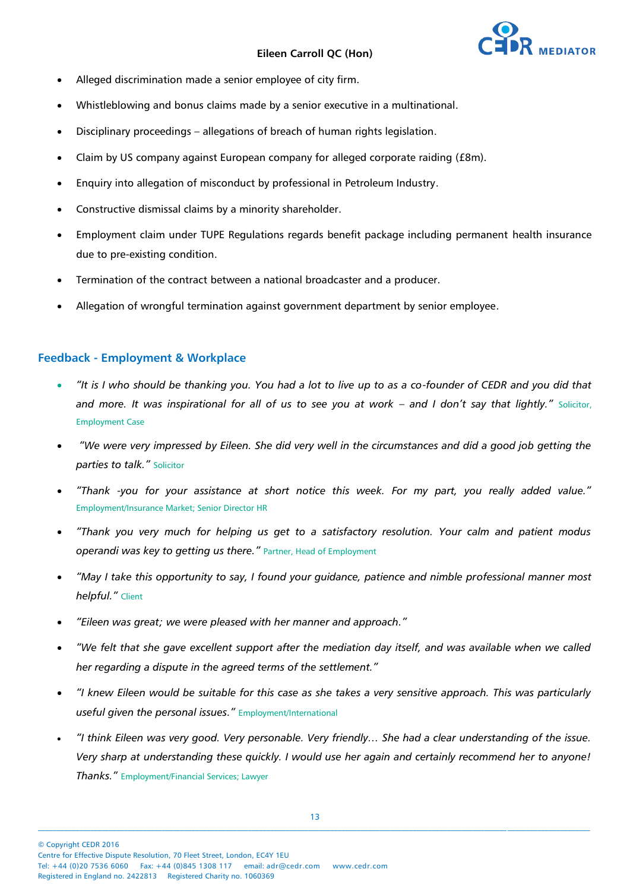

- Alleged discrimination made a senior employee of city firm.
- Whistleblowing and bonus claims made by a senior executive in a multinational.
- Disciplinary proceedings allegations of breach of human rights legislation.
- Claim by US company against European company for alleged corporate raiding (£8m).
- Enquiry into allegation of misconduct by professional in Petroleum Industry.
- Constructive dismissal claims by a minority shareholder.
- Employment claim under TUPE Regulations regards benefit package including permanent health insurance due to pre-existing condition.
- Termination of the contract between a national broadcaster and a producer.
- Allegation of wrongful termination against government department by senior employee.

#### **Feedback - Employment & Workplace**

- *"It is I who should be thanking you. You had a lot to live up to as a co-founder of CEDR and you did that*  and more. It was inspirational for all of us to see you at work – and I don't say that lightly." Solicitor, Employment Case
- *"We were very impressed by Eileen. She did very well in the circumstances and did a good job getting the parties to talk."* Solicitor
- *"Thank -you for your assistance at short notice this week. For my part, you really added value."*  Employment/Insurance Market; Senior Director HR
- *"Thank you very much for helping us get to a satisfactory resolution. Your calm and patient modus operandi was key to getting us there."* Partner, Head of Employment
- *"May I take this opportunity to say, I found your guidance, patience and nimble professional manner most helpful."* Client
- *"Eileen was great; we were pleased with her manner and approach."*
- *"We felt that she gave excellent support after the mediation day itself, and was available when we called her regarding a dispute in the agreed terms of the settlement."*
- *"I knew Eileen would be suitable for this case as she takes a very sensitive approach. This was particularly useful given the personal issues."* Employment/International
- *"I think Eileen was very good. Very personable. Very friendly… She had a clear understanding of the issue. Very sharp at understanding these quickly. I would use her again and certainly recommend her to anyone! Thanks."* Employment/Financial Services; Lawyer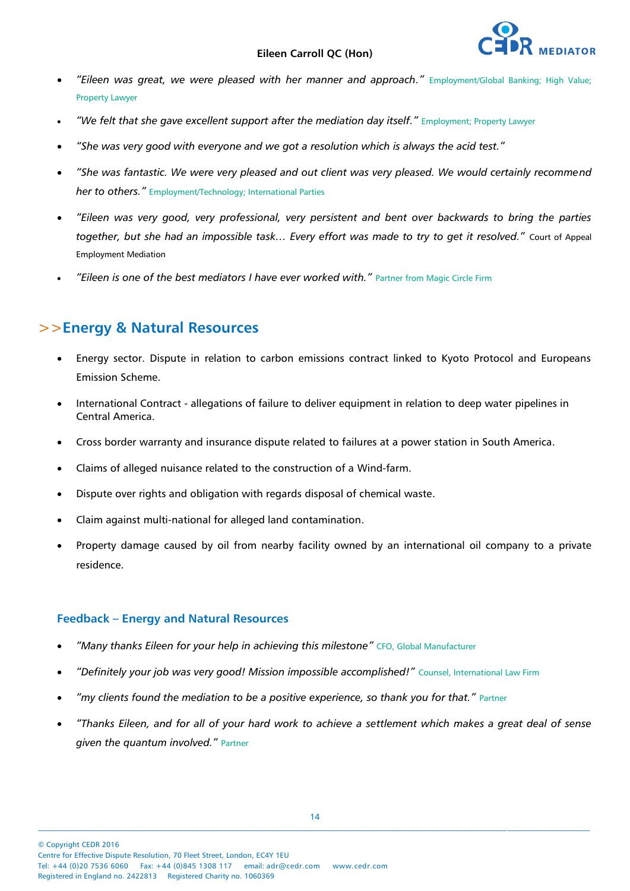- *"Eileen was great, we were pleased with her manner and approach."* Employment/Global Banking; High Value; Property Lawyer
- *"We felt that she gave excellent support after the mediation day itself."* Employment; Property Lawyer
- *"She was very good with everyone and we got a resolution which is always the acid test."*
- *"She was fantastic. We were very pleased and out client was very pleased. We would certainly recommend her to others."* Employment/Technology; International Parties
- *"Eileen was very good, very professional, very persistent and bent over backwards to bring the parties together, but she had an impossible task… Every effort was made to try to get it resolved."* Court of Appeal Employment Mediation
- *"Eileen is one of the best mediators I have ever worked with."* Partner from Magic Circle Firm

### >>**Energy & Natural Resources**

- Energy sector. Dispute in relation to carbon emissions contract linked to Kyoto Protocol and Europeans Emission Scheme.
- International Contract allegations of failure to deliver equipment in relation to deep water pipelines in Central America.
- Cross border warranty and insurance dispute related to failures at a power station in South America.
- Claims of alleged nuisance related to the construction of a Wind-farm.
- Dispute over rights and obligation with regards disposal of chemical waste.
- Claim against multi-national for alleged land contamination.
- Property damage caused by oil from nearby facility owned by an international oil company to a private residence.

#### **Feedback – Energy and Natural Resources**

- *"Many thanks Eileen for your help in achieving this milestone"* CFO, Global Manufacturer
- *"Definitely your job was very good! Mission impossible accomplished!"* Counsel, International Law Firm
- *"my clients found the mediation to be a positive experience, so thank you for that."* Partner
- *"Thanks Eileen, and for all of your hard work to achieve a settlement which makes a great deal of sense given the quantum involved."* Partner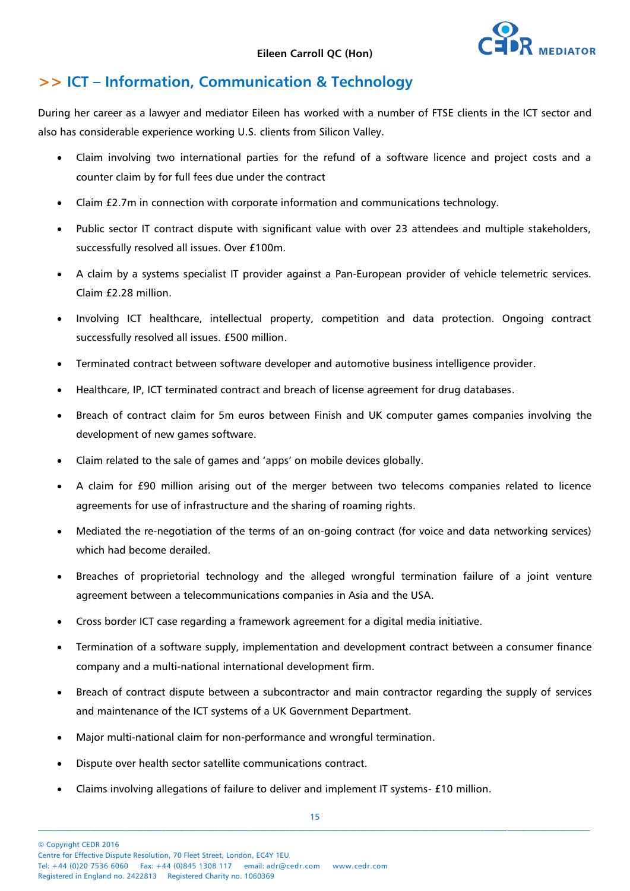

# **>> ICT – Information, Communication & Technology**

During her career as a lawyer and mediator Eileen has worked with a number of FTSE clients in the ICT sector and also has considerable experience working U.S. clients from Silicon Valley.

- Claim involving two international parties for the refund of a software licence and project costs and a counter claim by for full fees due under the contract
- Claim £2.7m in connection with corporate information and communications technology.
- Public sector IT contract dispute with significant value with over 23 attendees and multiple stakeholders, successfully resolved all issues. Over £100m.
- A claim by a systems specialist IT provider against a Pan-European provider of vehicle telemetric services. Claim £2.28 million.
- Involving ICT healthcare, intellectual property, competition and data protection. Ongoing contract successfully resolved all issues. £500 million.
- Terminated contract between software developer and automotive business intelligence provider.
- Healthcare, IP, ICT terminated contract and breach of license agreement for drug databases.
- Breach of contract claim for 5m euros between Finish and UK computer games companies involving the development of new games software.
- Claim related to the sale of games and 'apps' on mobile devices globally.
- A claim for £90 million arising out of the merger between two telecoms companies related to licence agreements for use of infrastructure and the sharing of roaming rights.
- Mediated the re-negotiation of the terms of an on-going contract (for voice and data networking services) which had become derailed.
- Breaches of proprietorial technology and the alleged wrongful termination failure of a joint venture agreement between a telecommunications companies in Asia and the USA.
- Cross border ICT case regarding a framework agreement for a digital media initiative.
- Termination of a software supply, implementation and development contract between a consumer finance company and a multi-national international development firm.
- Breach of contract dispute between a subcontractor and main contractor regarding the supply of services and maintenance of the ICT systems of a UK Government Department.
- Major multi-national claim for non-performance and wrongful termination.
- Dispute over health sector satellite communications contract.
- Claims involving allegations of failure to deliver and implement IT systems- £10 million.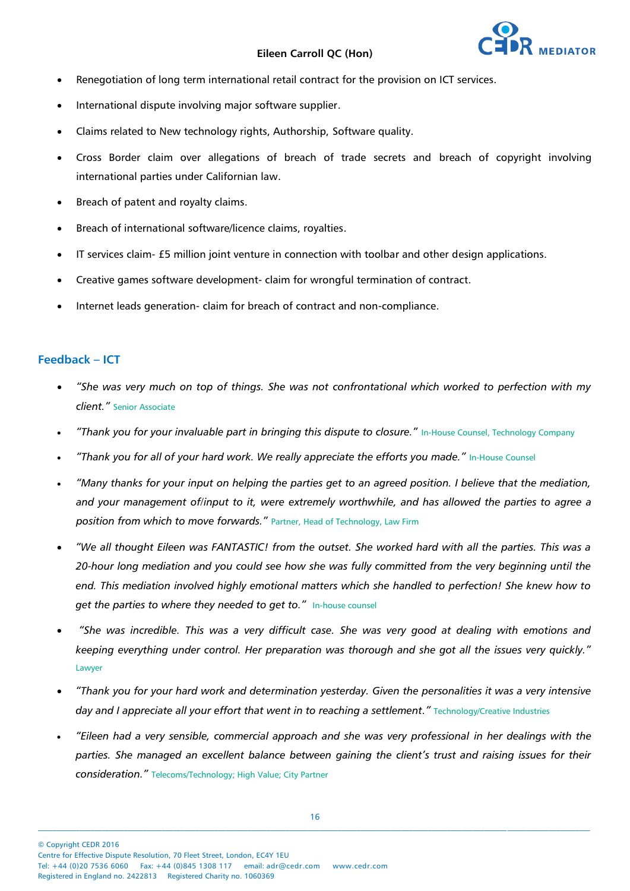

- Renegotiation of long term international retail contract for the provision on ICT services.
- International dispute involving major software supplier.
- Claims related to New technology rights, Authorship, Software quality.
- Cross Border claim over allegations of breach of trade secrets and breach of copyright involving international parties under Californian law.
- Breach of patent and royalty claims.
- Breach of international software/licence claims, royalties.
- IT services claim- £5 million joint venture in connection with toolbar and other design applications.
- Creative games software development- claim for wrongful termination of contract.
- Internet leads generation- claim for breach of contract and non-compliance.

#### **Feedback – ICT**

- *"She was very much on top of things. She was not confrontational which worked to perfection with my client."* Senior Associate
- *"Thank you for your invaluable part in bringing this dispute to closure."* In-House Counsel, Technology Company
- "Thank you for all of your hard work. We really appreciate the efforts you made." In-House Counsel
- *"Many thanks for your input on helping the parties get to an agreed position. I believe that the mediation, and your management of/input to it, were extremely worthwhile, and has allowed the parties to agree a position from which to move forwards."* Partner, Head of Technology, Law Firm
- *"We all thought Eileen was FANTASTIC! from the outset. She worked hard with all the parties. This was a 20-hour long mediation and you could see how she was fully committed from the very beginning until the end. This mediation involved highly emotional matters which she handled to perfection! She knew how to*  get the parties to where they needed to get to." In-house counsel
- *"She was incredible. This was a very difficult case. She was very good at dealing with emotions and keeping everything under control. Her preparation was thorough and she got all the issues very quickly."*  Lawyer
- *"Thank you for your hard work and determination yesterday. Given the personalities it was a very intensive*  day and I appreciate all your effort that went in to reaching a settlement.<sup>*"*</sup> Technology/Creative Industries
- "Eileen had a very sensible, commercial approach and she was very professional in her dealings with the parties. She managed an excellent balance between gaining the client's trust and raising issues for their *consideration."* Telecoms/Technology; High Value; City Partner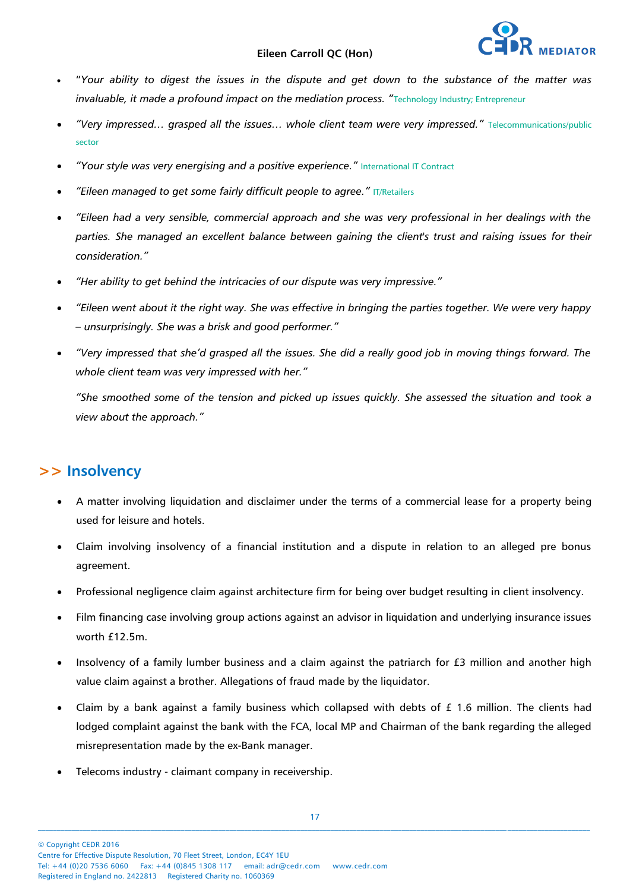

- "*Your ability to digest the issues in the dispute and get down to the substance of the matter was invaluable, it made a profound impact on the mediation process.* "Technology Industry; Entrepreneur
- *"Very impressed… grasped all the issues… whole client team were very impressed."* Telecommunications/public sector
- *"Your style was very energising and a positive experience."* International IT Contract
- *"Eileen managed to get some fairly difficult people to agree." IT/Retailers*
- *"Eileen had a very sensible, commercial approach and she was very professional in her dealings with the parties. She managed an excellent balance between gaining the client's trust and raising issues for their consideration."*
- *"Her ability to get behind the intricacies of our dispute was very impressive."*
- *"Eileen went about it the right way. She was effective in bringing the parties together. We were very happy – unsurprisingly. She was a brisk and good performer."*
- *"Very impressed that she'd grasped all the issues. She did a really good job in moving things forward. The whole client team was very impressed with her."*

*"She smoothed some of the tension and picked up issues quickly. She assessed the situation and took a view about the approach."*

### **>> Insolvency**

- A matter involving liquidation and disclaimer under the terms of a commercial lease for a property being used for leisure and hotels.
- Claim involving insolvency of a financial institution and a dispute in relation to an alleged pre bonus agreement.
- Professional negligence claim against architecture firm for being over budget resulting in client insolvency.
- Film financing case involving group actions against an advisor in liquidation and underlying insurance issues worth  $f12.5m$ .
- Insolvency of a family lumber business and a claim against the patriarch for £3 million and another high value claim against a brother. Allegations of fraud made by the liquidator.
- Claim by a bank against a family business which collapsed with debts of £ 1.6 million. The clients had lodged complaint against the bank with the FCA, local MP and Chairman of the bank regarding the alleged misrepresentation made by the ex-Bank manager.
- Telecoms industry claimant company in receivership.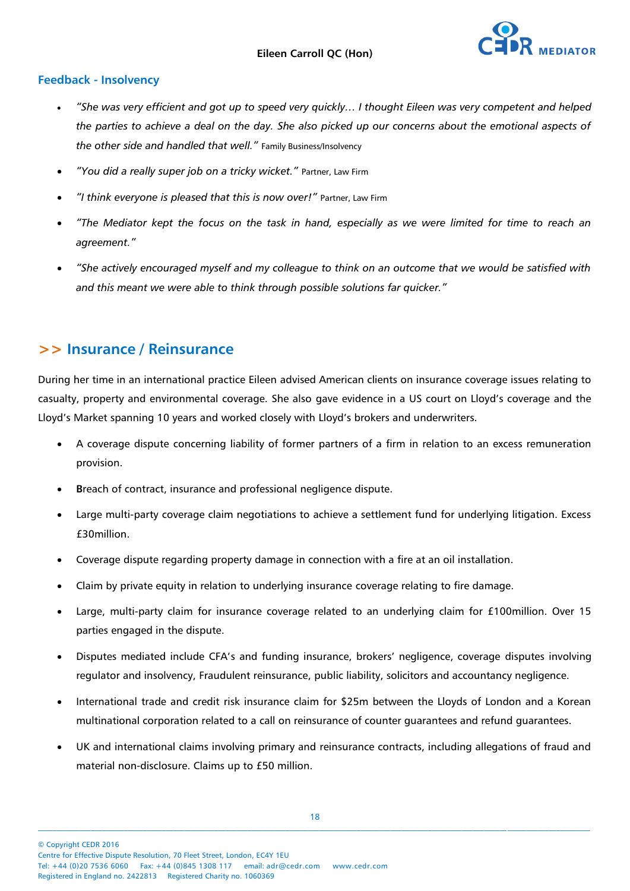

#### **Feedback - Insolvency**

- *"She was very efficient and got up to speed very quickly… I thought Eileen was very competent and helped the parties to achieve a deal on the day. She also picked up our concerns about the emotional aspects of the other side and handled that well."* Family Business/Insolvency
- *"You did a really super job on a tricky wicket."* Partner, Law Firm
- *"I think everyone is pleased that this is now over!"* Partner, Law Firm
- *"The Mediator kept the focus on the task in hand, especially as we were limited for time to reach an agreement."*
- *"She actively encouraged myself and my colleague to think on an outcome that we would be satisfied with and this meant we were able to think through possible solutions far quicker."*

### **>> Insurance / Reinsurance**

During her time in an international practice Eileen advised American clients on insurance coverage issues relating to casualty, property and environmental coverage. She also gave evidence in a US court on Lloyd's coverage and the Lloyd's Market spanning 10 years and worked closely with Lloyd's brokers and underwriters.

- A coverage dispute concerning liability of former partners of a firm in relation to an excess remuneration provision.
- **B**reach of contract, insurance and professional negligence dispute.
- Large multi-party coverage claim negotiations to achieve a settlement fund for underlying litigation. Excess £30million.
- Coverage dispute regarding property damage in connection with a fire at an oil installation.
- Claim by private equity in relation to underlying insurance coverage relating to fire damage.
- Large, multi-party claim for insurance coverage related to an underlying claim for £100million. Over 15 parties engaged in the dispute.
- Disputes mediated include CFA's and funding insurance, brokers' negligence, coverage disputes involving regulator and insolvency, Fraudulent reinsurance, public liability, solicitors and accountancy negligence.
- International trade and credit risk insurance claim for \$25m between the Lloyds of London and a Korean multinational corporation related to a call on reinsurance of counter guarantees and refund guarantees.
- UK and international claims involving primary and reinsurance contracts, including allegations of fraud and material non-disclosure. Claims up to £50 million.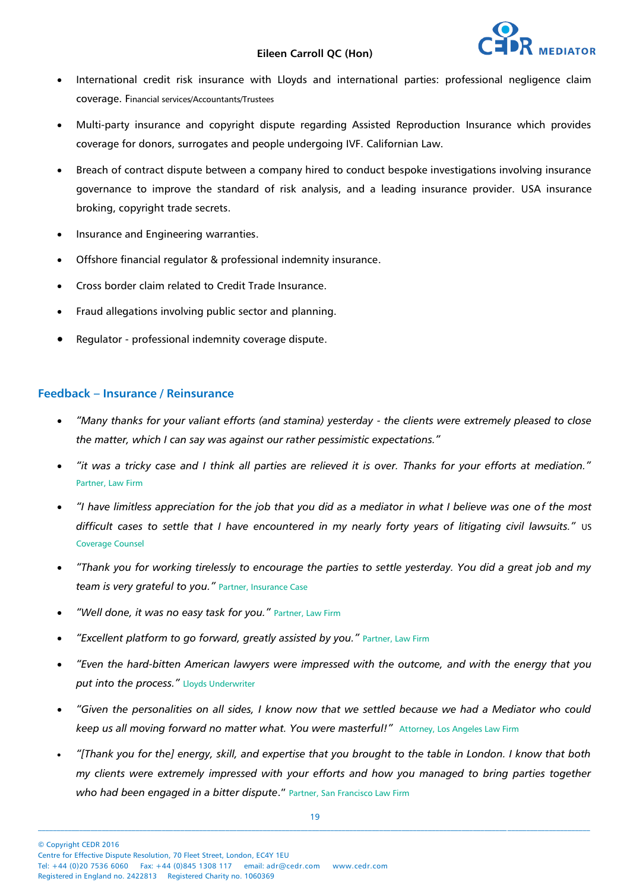

- International credit risk insurance with Lloyds and international parties: professional negligence claim coverage. Financial services/Accountants/Trustees
- Multi-party insurance and copyright dispute regarding Assisted Reproduction Insurance which provides coverage for donors, surrogates and people undergoing IVF. Californian Law.
- Breach of contract dispute between a company hired to conduct bespoke investigations involving insurance governance to improve the standard of risk analysis, and a leading insurance provider. USA insurance broking, copyright trade secrets.
- Insurance and Engineering warranties.
- Offshore financial regulator & professional indemnity insurance.
- Cross border claim related to Credit Trade Insurance.
- Fraud allegations involving public sector and planning.
- Regulator professional indemnity coverage dispute.

#### **Feedback – Insurance / Reinsurance**

- *"Many thanks for your valiant efforts (and stamina) yesterday - the clients were extremely pleased to close the matter, which I can say was against our rather pessimistic expectations."*
- *"it was a tricky case and I think all parties are relieved it is over. Thanks for your efforts at mediation."*  Partner, Law Firm
- *"I have limitless appreciation for the job that you did as a mediator in what I believe was one of the most difficult cases to settle that I have encountered in my nearly forty years of litigating civil lawsuits."* US Coverage Counsel
- *"Thank you for working tirelessly to encourage the parties to settle yesterday. You did a great job and my team is very grateful to you."* Partner, Insurance Case
- *"Well done, it was no easy task for you."* Partner, Law Firm
- *"Excellent platform to go forward, greatly assisted by you."* Partner, Law Firm
- *"Even the hard-bitten American lawyers were impressed with the outcome, and with the energy that you put into the process."* Lloyds Underwriter
- *"Given the personalities on all sides, I know now that we settled because we had a Mediator who could*  keep us all moving forward no matter what. You were masterful!" Attorney, Los Angeles Law Firm
- *"[Thank you for the] energy, skill, and expertise that you brought to the table in London. I know that both my clients were extremely impressed with your efforts and how you managed to bring parties together who had been engaged in a bitter dispute*." Partner, San Francisco Law Firm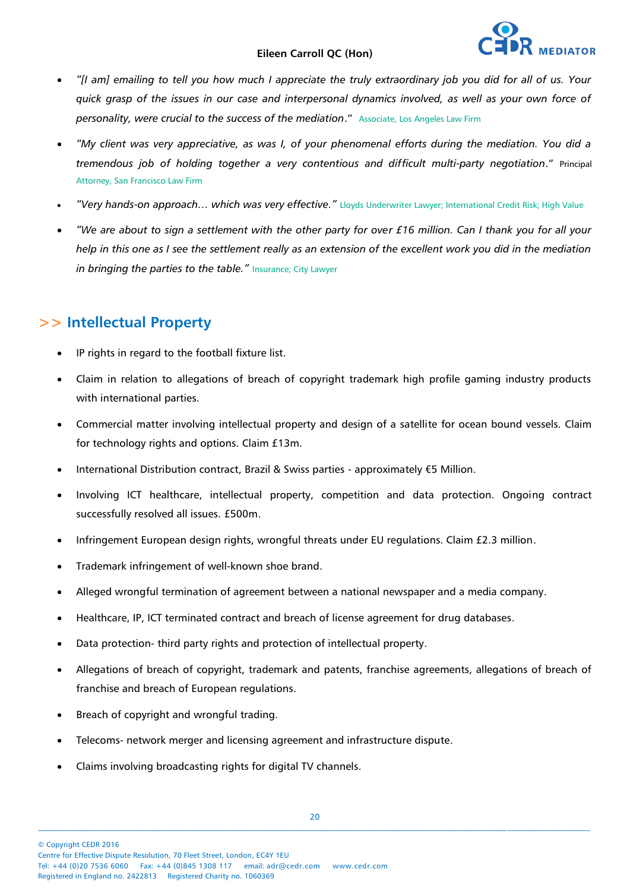- *"[I am] emailing to tell you how much I appreciate the truly extraordinary job you did for all of us. Your quick grasp of the issues in our case and interpersonal dynamics involved, as well as your own force of personality, were crucial to the success of the mediation*." Associate, Los Angeles Law Firm
- *"My client was very appreciative, as was I, of your phenomenal efforts during the mediation. You did a tremendous job of holding together a very contentious and difficult multi-party negotiation*." Principal Attorney, San Francisco Law Firm
- *"Very hands-on approach… which was very effective."* Lloyds Underwriter Lawyer; International Credit Risk; High Value
- *"We are about to sign a settlement with the other party for over £16 million. Can I thank you for all your help in this one as I see the settlement really as an extension of the excellent work you did in the mediation*  in bringing the parties to the table." Insurance; City Lawyer

## **>> Intellectual Property**

- IP rights in regard to the football fixture list.
- Claim in relation to allegations of breach of copyright trademark high profile gaming industry products with international parties.
- Commercial matter involving intellectual property and design of a satellite for ocean bound vessels. Claim for technology rights and options. Claim £13m.
- International Distribution contract, Brazil & Swiss parties approximately €5 Million.
- Involving ICT healthcare, intellectual property, competition and data protection. Ongoing contract successfully resolved all issues. £500m.
- Infringement European design rights, wrongful threats under EU regulations. Claim £2.3 million.
- Trademark infringement of well-known shoe brand.
- Alleged wrongful termination of agreement between a national newspaper and a media company.
- Healthcare, IP, ICT terminated contract and breach of license agreement for drug databases.
- Data protection- third party rights and protection of intellectual property.
- Allegations of breach of copyright, trademark and patents, franchise agreements, allegations of breach of franchise and breach of European regulations.
- Breach of copyright and wrongful trading.
- Telecoms- network merger and licensing agreement and infrastructure dispute.
- Claims involving broadcasting rights for digital TV channels.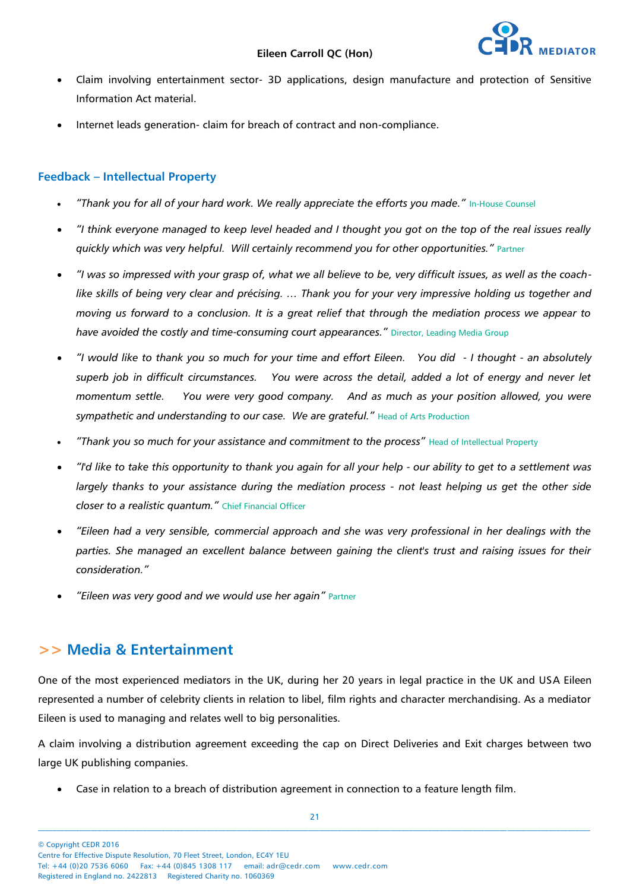- Claim involving entertainment sector- 3D applications, design manufacture and protection of Sensitive Information Act material.
- Internet leads generation- claim for breach of contract and non-compliance.

#### **Feedback – Intellectual Property**

- "Thank you for all of your hard work. We really appreciate the efforts you made." In-House Counsel
- *"I think everyone managed to keep level headed and I thought you got on the top of the real issues really quickly which was very helpful. Will certainly recommend you for other opportunities."* Partner
- *"I was so impressed with your grasp of, what we all believe to be, very difficult issues, as well as the coachlike skills of being very clear and précising. … Thank you for your very impressive holding us together and moving us forward to a conclusion. It is a great relief that through the mediation process we appear to have avoided the costly and time-consuming court appearances."* Director, Leading Media Group
- *"I would like to thank you so much for your time and effort Eileen. You did - I thought - an absolutely superb job in difficult circumstances. You were across the detail, added a lot of energy and never let momentum settle. You were very good company. And as much as your position allowed, you were sympathetic and understanding to our case. We are grateful."* Head of Arts Production
- *"Thank you so much for your assistance and commitment to the process"* Head of Intellectual Property
- *"I'd like to take this opportunity to thank you again for all your help - our ability to get to a settlement was largely thanks to your assistance during the mediation process - not least helping us get the other side closer to a realistic quantum."* Chief Financial Officer
- *"Eileen had a very sensible, commercial approach and she was very professional in her dealings with the parties. She managed an excellent balance between gaining the client's trust and raising issues for their consideration."*
- *"Eileen was very good and we would use her again"* Partner

### **>> Media & Entertainment**

One of the most experienced mediators in the UK, during her 20 years in legal practice in the UK and USA Eileen represented a number of celebrity clients in relation to libel, film rights and character merchandising. As a mediator Eileen is used to managing and relates well to big personalities.

A claim involving a distribution agreement exceeding the cap on Direct Deliveries and Exit charges between two large UK publishing companies.

Case in relation to a breach of distribution agreement in connection to a feature length film.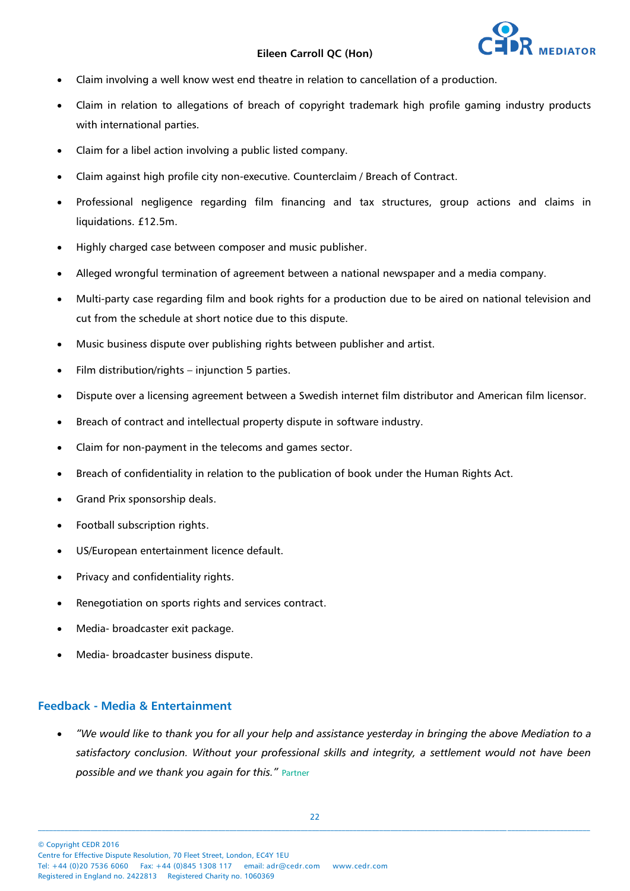

- Claim involving a well know west end theatre in relation to cancellation of a production.
- Claim in relation to allegations of breach of copyright trademark high profile gaming industry products with international parties.
- Claim for a libel action involving a public listed company.
- Claim against high profile city non-executive. Counterclaim / Breach of Contract.
- Professional negligence regarding film financing and tax structures, group actions and claims in liquidations. £12.5m.
- Highly charged case between composer and music publisher.
- Alleged wrongful termination of agreement between a national newspaper and a media company.
- Multi-party case regarding film and book rights for a production due to be aired on national television and cut from the schedule at short notice due to this dispute.
- Music business dispute over publishing rights between publisher and artist.
- Film distribution/rights injunction 5 parties.
- Dispute over a licensing agreement between a Swedish internet film distributor and American film licensor.
- Breach of contract and intellectual property dispute in software industry.
- Claim for non-payment in the telecoms and games sector.
- Breach of confidentiality in relation to the publication of book under the Human Rights Act.
- Grand Prix sponsorship deals.
- Football subscription rights.
- US/European entertainment licence default.
- Privacy and confidentiality rights.
- Renegotiation on sports rights and services contract.
- Media- broadcaster exit package.
- Media- broadcaster business dispute.

#### **Feedback - Media & Entertainment**

 *"We would like to thank you for all your help and assistance yesterday in bringing the above Mediation to a satisfactory conclusion. Without your professional skills and integrity, a settlement would not have been possible and we thank you again for this."* Partner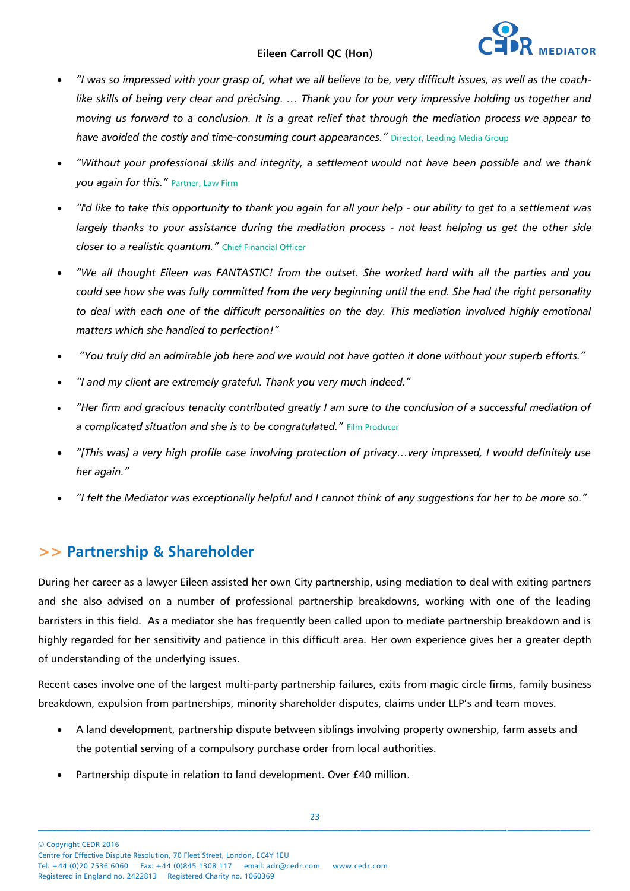- *"I was so impressed with your grasp of, what we all believe to be, very difficult issues, as well as the coachlike skills of being very clear and précising. … Thank you for your very impressive holding us together and moving us forward to a conclusion. It is a great relief that through the mediation process we appear to have avoided the costly and time-consuming court appearances."* Director, Leading Media Group
- *"Without your professional skills and integrity, a settlement would not have been possible and we thank you again for this."* Partner, Law Firm
- *"I'd like to take this opportunity to thank you again for all your help - our ability to get to a settlement was largely thanks to your assistance during the mediation process - not least helping us get the other side closer to a realistic quantum."* Chief Financial Officer
- *"We all thought Eileen was FANTASTIC! from the outset. She worked hard with all the parties and you could see how she was fully committed from the very beginning until the end. She had the right personality to deal with each one of the difficult personalities on the day. This mediation involved highly emotional matters which she handled to perfection!"*
- *"You truly did an admirable job here and we would not have gotten it done without your superb efforts."*
- *"I and my client are extremely grateful. Thank you very much indeed."*
- *"Her firm and gracious tenacity contributed greatly I am sure to the conclusion of a successful mediation of a complicated situation and she is to be congratulated."* Film Producer
- *"[This was] a very high profile case involving protection of privacy…very impressed, I would definitely use her again."*
- *"I felt the Mediator was exceptionally helpful and I cannot think of any suggestions for her to be more so."*

### **>> Partnership & Shareholder**

During her career as a lawyer Eileen assisted her own City partnership, using mediation to deal with exiting partners and she also advised on a number of professional partnership breakdowns, working with one of the leading barristers in this field. As a mediator she has frequently been called upon to mediate partnership breakdown and is highly regarded for her sensitivity and patience in this difficult area. Her own experience gives her a greater depth of understanding of the underlying issues.

Recent cases involve one of the largest multi-party partnership failures, exits from magic circle firms, family business breakdown, expulsion from partnerships, minority shareholder disputes, claims under LLP's and team moves.

- A land development, partnership dispute between siblings involving property ownership, farm assets and the potential serving of a compulsory purchase order from local authorities.
- Partnership dispute in relation to land development. Over £40 million.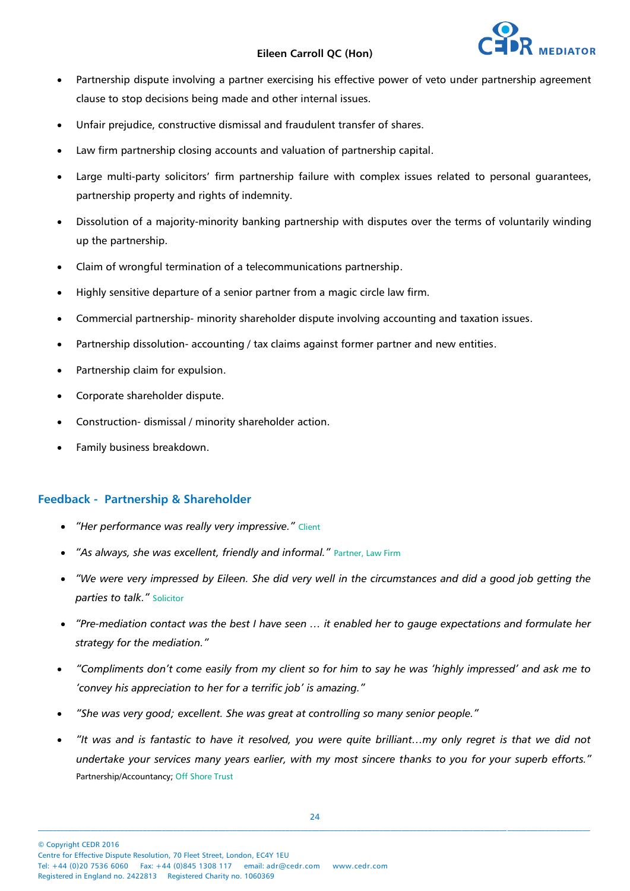

- Partnership dispute involving a partner exercising his effective power of veto under partnership agreement clause to stop decisions being made and other internal issues.
- Unfair prejudice, constructive dismissal and fraudulent transfer of shares.
- Law firm partnership closing accounts and valuation of partnership capital.
- Large multi-party solicitors' firm partnership failure with complex issues related to personal guarantees, partnership property and rights of indemnity.
- Dissolution of a majority-minority banking partnership with disputes over the terms of voluntarily winding up the partnership.
- Claim of wrongful termination of a telecommunications partnership.
- Highly sensitive departure of a senior partner from a magic circle law firm.
- Commercial partnership- minority shareholder dispute involving accounting and taxation issues.
- Partnership dissolution- accounting / tax claims against former partner and new entities.
- Partnership claim for expulsion.
- Corporate shareholder dispute.
- Construction- dismissal / minority shareholder action.
- Family business breakdown.

#### **Feedback - Partnership & Shareholder**

- *"Her performance was really very impressive."* Client
- *"As always, she was excellent, friendly and informal."* Partner, Law Firm
- *"We were very impressed by Eileen. She did very well in the circumstances and did a good job getting the parties to talk."* Solicitor
- *"Pre-mediation contact was the best I have seen … it enabled her to gauge expectations and formulate her strategy for the mediation."*
- *"Compliments don't come easily from my client so for him to say he was 'highly impressed' and ask me to 'convey his appreciation to her for a terrific job' is amazing."*
- *"She was very good; excellent. She was great at controlling so many senior people."*
- *"It was and is fantastic to have it resolved, you were quite brilliant…my only regret is that we did not undertake your services many years earlier, with my most sincere thanks to you for your superb efforts."* Partnership/Accountancy; Off Shore Trust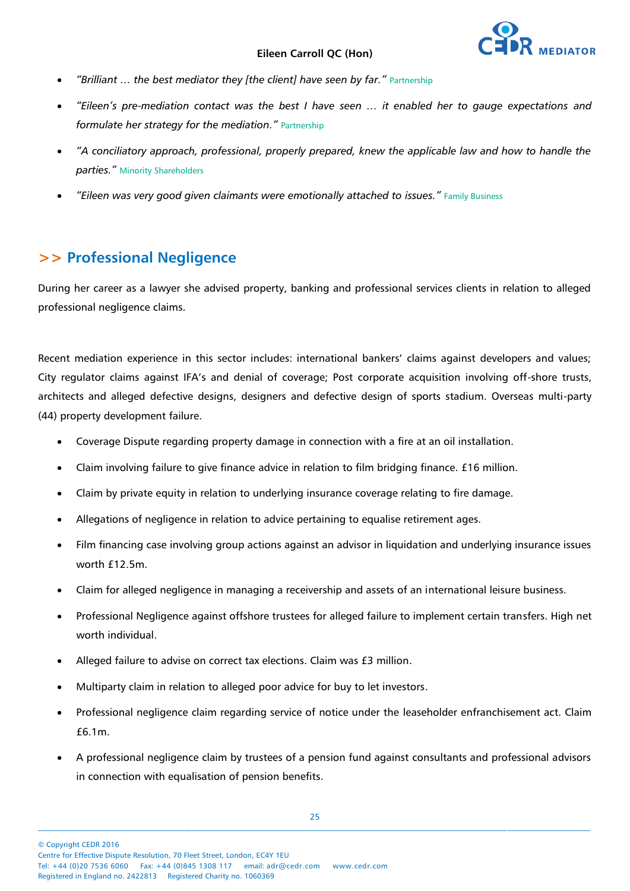- *"Brilliant … the best mediator they [the client] have seen by far."* Partnership
- *"Eileen's pre-mediation contact was the best I have seen … it enabled her to gauge expectations and formulate her strategy for the mediation."* Partnership
- *"A conciliatory approach, professional, properly prepared, knew the applicable law and how to handle the parties."* Minority Shareholders
- *"Eileen was very good given claimants were emotionally attached to issues."* Family Business

### **>> Professional Negligence**

During her career as a lawyer she advised property, banking and professional services clients in relation to alleged professional negligence claims.

Recent mediation experience in this sector includes: international bankers' claims against developers and values; City regulator claims against IFA's and denial of coverage; Post corporate acquisition involving off-shore trusts, architects and alleged defective designs, designers and defective design of sports stadium. Overseas multi-party (44) property development failure.

- Coverage Dispute regarding property damage in connection with a fire at an oil installation.
- Claim involving failure to give finance advice in relation to film bridging finance. £16 million.
- Claim by private equity in relation to underlying insurance coverage relating to fire damage.
- Allegations of negligence in relation to advice pertaining to equalise retirement ages.
- Film financing case involving group actions against an advisor in liquidation and underlying insurance issues worth £12.5m.
- Claim for alleged negligence in managing a receivership and assets of an international leisure business.
- Professional Negligence against offshore trustees for alleged failure to implement certain transfers. High net worth individual.
- Alleged failure to advise on correct tax elections. Claim was £3 million.
- Multiparty claim in relation to alleged poor advice for buy to let investors.
- Professional negligence claim regarding service of notice under the leaseholder enfranchisement act. Claim £6.1m.
- A professional negligence claim by trustees of a pension fund against consultants and professional advisors in connection with equalisation of pension benefits.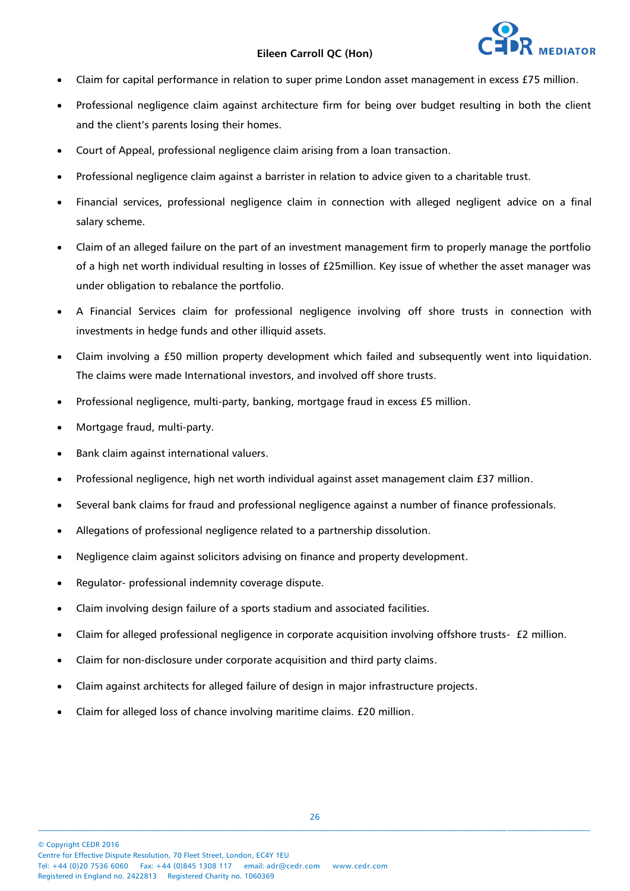

- Claim for capital performance in relation to super prime London asset management in excess £75 million.
- Professional negligence claim against architecture firm for being over budget resulting in both the client and the client's parents losing their homes.
- Court of Appeal, professional negligence claim arising from a loan transaction.
- Professional negligence claim against a barrister in relation to advice given to a charitable trust.
- Financial services, professional negligence claim in connection with alleged negligent advice on a final salary scheme.
- Claim of an alleged failure on the part of an investment management firm to properly manage the portfolio of a high net worth individual resulting in losses of £25million. Key issue of whether the asset manager was under obligation to rebalance the portfolio.
- A Financial Services claim for professional negligence involving off shore trusts in connection with investments in hedge funds and other illiquid assets.
- Claim involving a £50 million property development which failed and subsequently went into liquidation. The claims were made International investors, and involved off shore trusts.
- Professional negligence, multi-party, banking, mortgage fraud in excess £5 million.
- Mortgage fraud, multi-party.
- Bank claim against international valuers.
- Professional negligence, high net worth individual against asset management claim £37 million.
- Several bank claims for fraud and professional negligence against a number of finance professionals.
- Allegations of professional negligence related to a partnership dissolution.
- Negligence claim against solicitors advising on finance and property development.
- Regulator- professional indemnity coverage dispute.
- Claim involving design failure of a sports stadium and associated facilities.
- Claim for alleged professional negligence in corporate acquisition involving offshore trusts- £2 million.
- Claim for non-disclosure under corporate acquisition and third party claims.
- Claim against architects for alleged failure of design in major infrastructure projects.
- Claim for alleged loss of chance involving maritime claims. £20 million.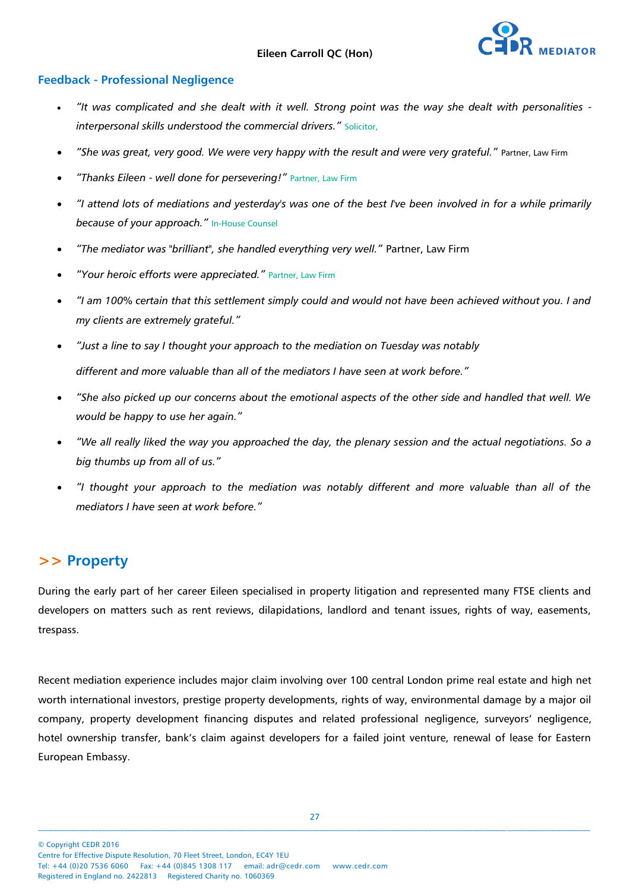

#### **Feedback - Professional Negligence**

- *"It was complicated and she dealt with it well. Strong point was the way she dealt with personalities interpersonal skills understood the commercial drivers."* Solicitor,
- *"She was great, very good. We were very happy with the result and were very grateful."* Partner, Law Firm
- *"Thanks Eileen - well done for persevering!"* Partner, Law Firm
- *"I attend lots of mediations and yesterday's was one of the best I've been involved in for a while primarily because of your approach."* In-House Counsel
- *"The mediator was "brilliant", she handled everything very well."* Partner, Law Firm
- *"Your heroic efforts were appreciated."* Partner, Law Firm
- *"I am 100% certain that this settlement simply could and would not have been achieved without you. I and my clients are extremely grateful."*
- *"Just a line to say I thought your approach to the mediation on Tuesday was notably different and more valuable than all of the mediators I have seen at work before."*
- *"She also picked up our concerns about the emotional aspects of the other side and handled that well. We would be happy to use her again."*
- *"We all really liked the way you approached the day, the plenary session and the actual negotiations. So a big thumbs up from all of us."*
- *"I thought your approach to the mediation was notably different and more valuable than all of the mediators I have seen at work before."*

### **>> Property**

During the early part of her career Eileen specialised in property litigation and represented many FTSE clients and developers on matters such as rent reviews, dilapidations, landlord and tenant issues, rights of way, easements, trespass.

Recent mediation experience includes major claim involving over 100 central London prime real estate and high net worth international investors, prestige property developments, rights of way, environmental damage by a major oil company, property development financing disputes and related professional negligence, surveyors' negligence, hotel ownership transfer, bank's claim against developers for a failed joint venture, renewal of lease for Eastern European Embassy.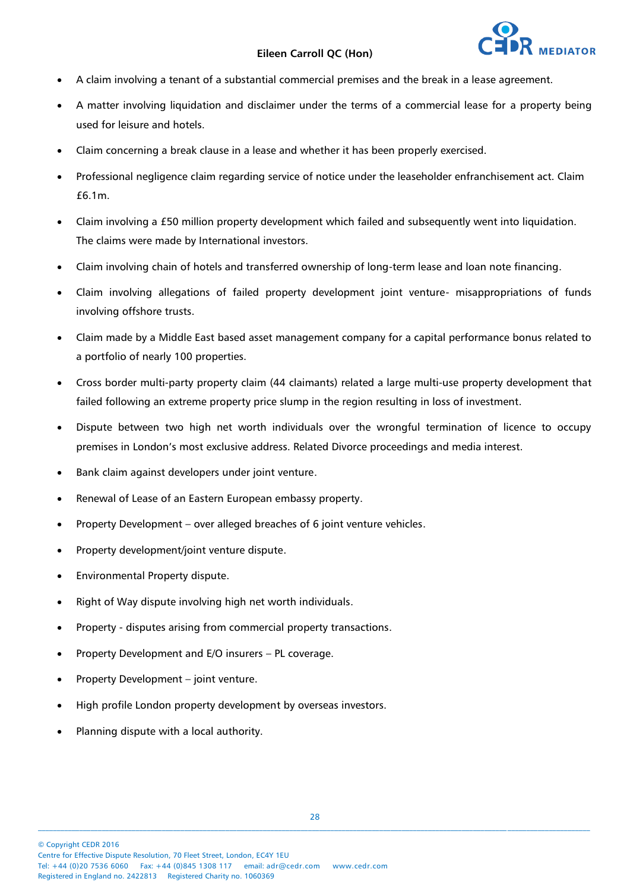

- A claim involving a tenant of a substantial commercial premises and the break in a lease agreement.
- A matter involving liquidation and disclaimer under the terms of a commercial lease for a property being used for leisure and hotels.
- Claim concerning a break clause in a lease and whether it has been properly exercised.
- Professional negligence claim regarding service of notice under the leaseholder enfranchisement act. Claim £6.1m.
- Claim involving a £50 million property development which failed and subsequently went into liquidation. The claims were made by International investors.
- Claim involving chain of hotels and transferred ownership of long-term lease and loan note financing.
- Claim involving allegations of failed property development joint venture- misappropriations of funds involving offshore trusts.
- Claim made by a Middle East based asset management company for a capital performance bonus related to a portfolio of nearly 100 properties.
- Cross border multi-party property claim (44 claimants) related a large multi-use property development that failed following an extreme property price slump in the region resulting in loss of investment.
- Dispute between two high net worth individuals over the wrongful termination of licence to occupy premises in London's most exclusive address. Related Divorce proceedings and media interest.
- Bank claim against developers under joint venture.
- Renewal of Lease of an Eastern European embassy property.
- Property Development over alleged breaches of 6 joint venture vehicles.
- Property development/joint venture dispute.
- Environmental Property dispute.
- Right of Way dispute involving high net worth individuals.
- Property disputes arising from commercial property transactions.
- Property Development and E/O insurers PL coverage.
- Property Development joint venture.
- High profile London property development by overseas investors.
- Planning dispute with a local authority.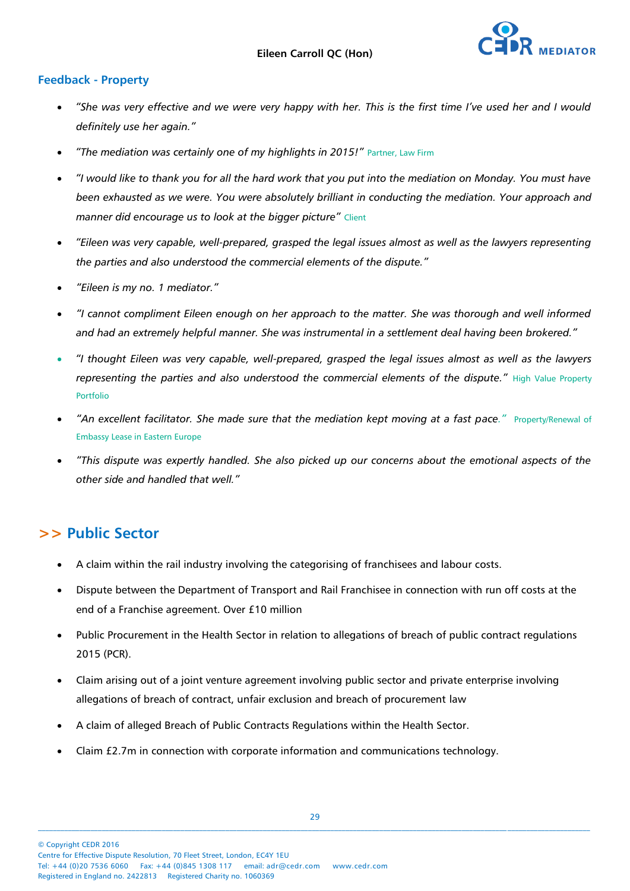

#### **Feedback - Property**

- *"She was very effective and we were very happy with her. This is the first time I've used her and I would definitely use her again."*
- *"The mediation was certainly one of my highlights in 2015!"* Partner, Law Firm
- *"I would like to thank you for all the hard work that you put into the mediation on Monday. You must have been exhausted as we were. You were absolutely brilliant in conducting the mediation. Your approach and manner did encourage us to look at the bigger picture"* Client
- *"Eileen was very capable, well-prepared, grasped the legal issues almost as well as the lawyers representing the parties and also understood the commercial elements of the dispute."*
- *"Eileen is my no. 1 mediator."*
- *"I cannot compliment Eileen enough on her approach to the matter. She was thorough and well informed and had an extremely helpful manner. She was instrumental in a settlement deal having been brokered."*
- *"I thought Eileen was very capable, well-prepared, grasped the legal issues almost as well as the lawyers representing the parties and also understood the commercial elements of the dispute."* High Value Property Portfolio
- "An excellent facilitator. She made sure that the mediation kept moving at a fast pace." Property/Renewal of Embassy Lease in Eastern Europe
- *"This dispute was expertly handled. She also picked up our concerns about the emotional aspects of the other side and handled that well."*

## **>> Public Sector**

- A claim within the rail industry involving the categorising of franchisees and labour costs.
- Dispute between the Department of Transport and Rail Franchisee in connection with run off costs at the end of a Franchise agreement. Over £10 million
- Public Procurement in the Health Sector in relation to allegations of breach of public contract regulations 2015 (PCR).
- Claim arising out of a joint venture agreement involving public sector and private enterprise involving allegations of breach of contract, unfair exclusion and breach of procurement law
- A claim of alleged Breach of Public Contracts Regulations within the Health Sector.
- Claim £2.7m in connection with corporate information and communications technology.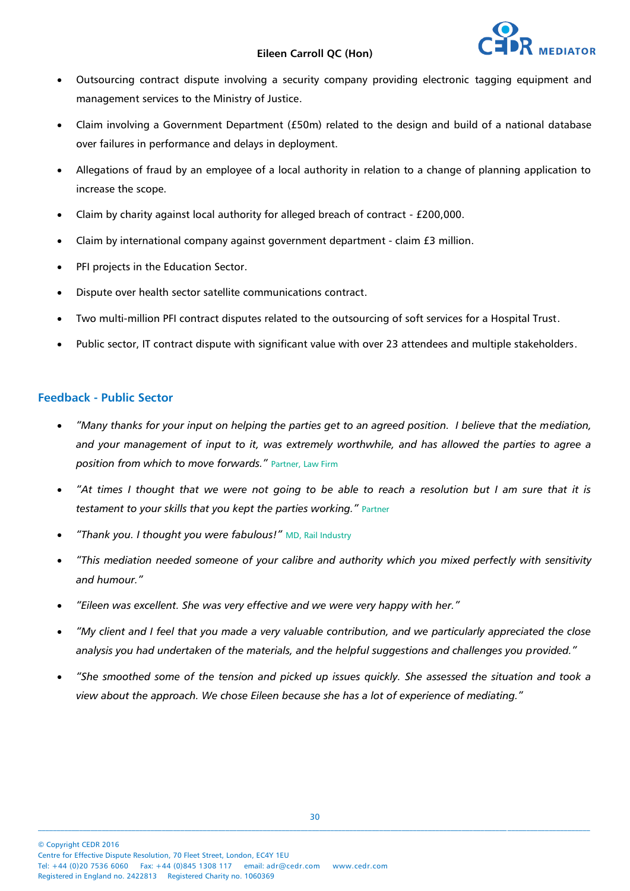- Outsourcing contract dispute involving a security company providing electronic tagging equipment and management services to the Ministry of Justice.
- Claim involving a Government Department (£50m) related to the design and build of a national database over failures in performance and delays in deployment.
- Allegations of fraud by an employee of a local authority in relation to a change of planning application to increase the scope.
- Claim by charity against local authority for alleged breach of contract £200,000.
- Claim by international company against government department claim £3 million.
- PFI projects in the Education Sector.
- Dispute over health sector satellite communications contract.
- Two multi-million PFI contract disputes related to the outsourcing of soft services for a Hospital Trust.
- Public sector, IT contract dispute with significant value with over 23 attendees and multiple stakeholders.

#### **Feedback - Public Sector**

- *"Many thanks for your input on helping the parties get to an agreed position. I believe that the mediation, and your management of input to it, was extremely worthwhile, and has allowed the parties to agree a position from which to move forwards."* Partner, Law Firm
- *"At times I thought that we were not going to be able to reach a resolution but I am sure that it is testament to your skills that you kept the parties working."* Partner
- *"Thank you. I thought you were fabulous!"* MD, Rail Industry
- *"This mediation needed someone of your calibre and authority which you mixed perfectly with sensitivity and humour."*
- *"Eileen was excellent. She was very effective and we were very happy with her."*
- *"My client and I feel that you made a very valuable contribution, and we particularly appreciated the close analysis you had undertaken of the materials, and the helpful suggestions and challenges you provided."*
- *"She smoothed some of the tension and picked up issues quickly. She assessed the situation and took a view about the approach. We chose Eileen because she has a lot of experience of mediating."*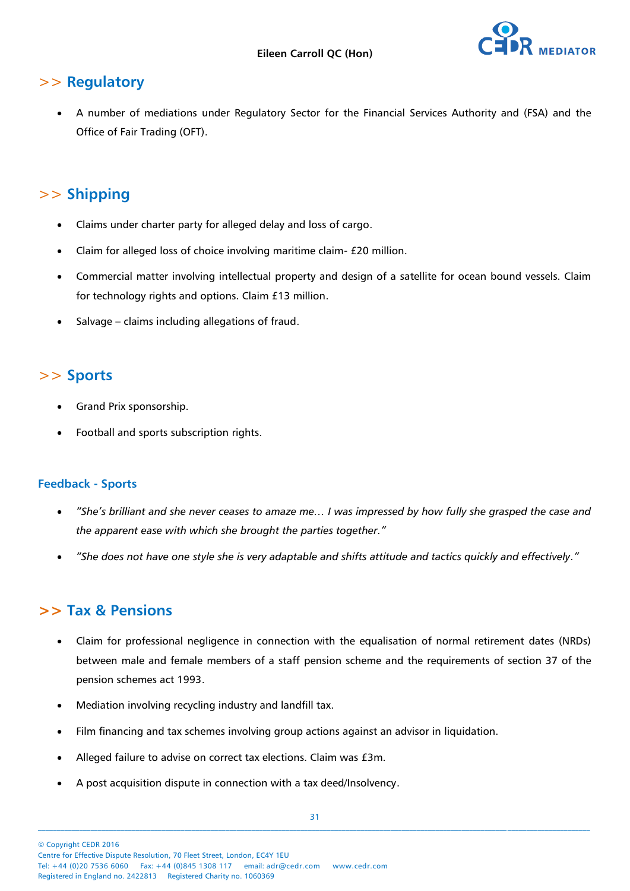

## >> **Regulatory**

 A number of mediations under Regulatory Sector for the Financial Services Authority and (FSA) and the Office of Fair Trading (OFT).

# >> **Shipping**

- Claims under charter party for alleged delay and loss of cargo.
- Claim for alleged loss of choice involving maritime claim- £20 million.
- Commercial matter involving intellectual property and design of a satellite for ocean bound vessels. Claim for technology rights and options. Claim £13 million.
- Salvage claims including allegations of fraud.

# >> **Sports**

- Grand Prix sponsorship.
- Football and sports subscription rights.

#### **Feedback - Sports**

- *"She's brilliant and she never ceases to amaze me… I was impressed by how fully she grasped the case and the apparent ease with which she brought the parties together."*
- *"She does not have one style she is very adaptable and shifts attitude and tactics quickly and effectively."*

## **>> Tax & Pensions**

- Claim for professional negligence in connection with the equalisation of normal retirement dates (NRDs) between male and female members of a staff pension scheme and the requirements of section 37 of the pension schemes act 1993.
- Mediation involving recycling industry and landfill tax.
- Film financing and tax schemes involving group actions against an advisor in liquidation.
- Alleged failure to advise on correct tax elections. Claim was £3m.
- A post acquisition dispute in connection with a tax deed/Insolvency.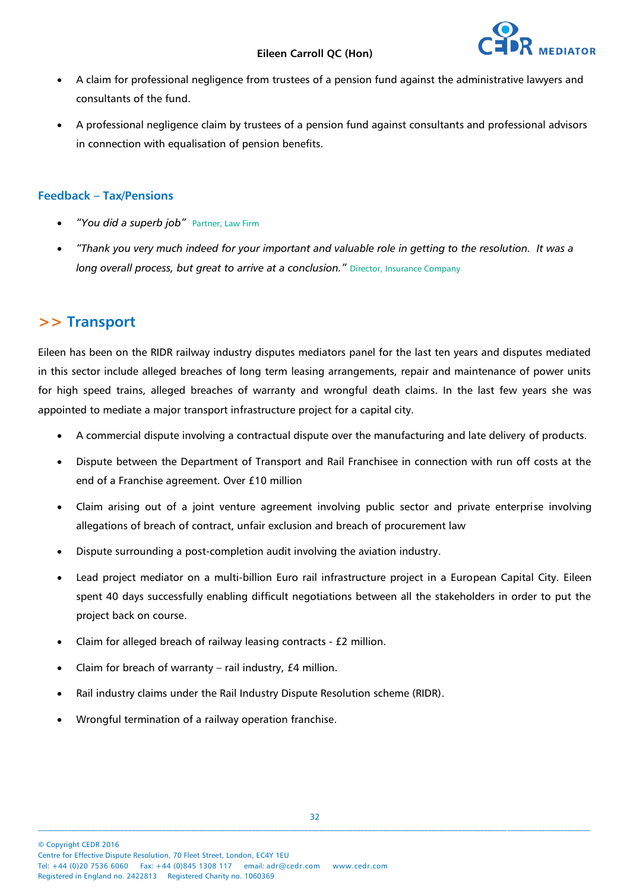

- A claim for professional negligence from trustees of a pension fund against the administrative lawyers and consultants of the fund.
- A professional negligence claim by trustees of a pension fund against consultants and professional advisors in connection with equalisation of pension benefits.

#### **Feedback – Tax/Pensions**

- *"You did a superb job"* Partner, Law Firm
- *"Thank you very much indeed for your important and valuable role in getting to the resolution. It was a long overall process, but great to arrive at a conclusion."* Director, Insurance Company

### **>> Transport**

Eileen has been on the RIDR railway industry disputes mediators panel for the last ten years and disputes mediated in this sector include alleged breaches of long term leasing arrangements, repair and maintenance of power units for high speed trains, alleged breaches of warranty and wrongful death claims. In the last few years she was appointed to mediate a major transport infrastructure project for a capital city.

- A commercial dispute involving a contractual dispute over the manufacturing and late delivery of products.
- Dispute between the Department of Transport and Rail Franchisee in connection with run off costs at the end of a Franchise agreement. Over £10 million
- Claim arising out of a joint venture agreement involving public sector and private enterprise involving allegations of breach of contract, unfair exclusion and breach of procurement law
- Dispute surrounding a post-completion audit involving the aviation industry.
- Lead project mediator on a multi-billion Euro rail infrastructure project in a European Capital City. Eileen spent 40 days successfully enabling difficult negotiations between all the stakeholders in order to put the project back on course.
- Claim for alleged breach of railway leasing contracts £2 million.
- Claim for breach of warranty rail industry, £4 million.
- Rail industry claims under the Rail Industry Dispute Resolution scheme (RIDR).
- Wrongful termination of a railway operation franchise.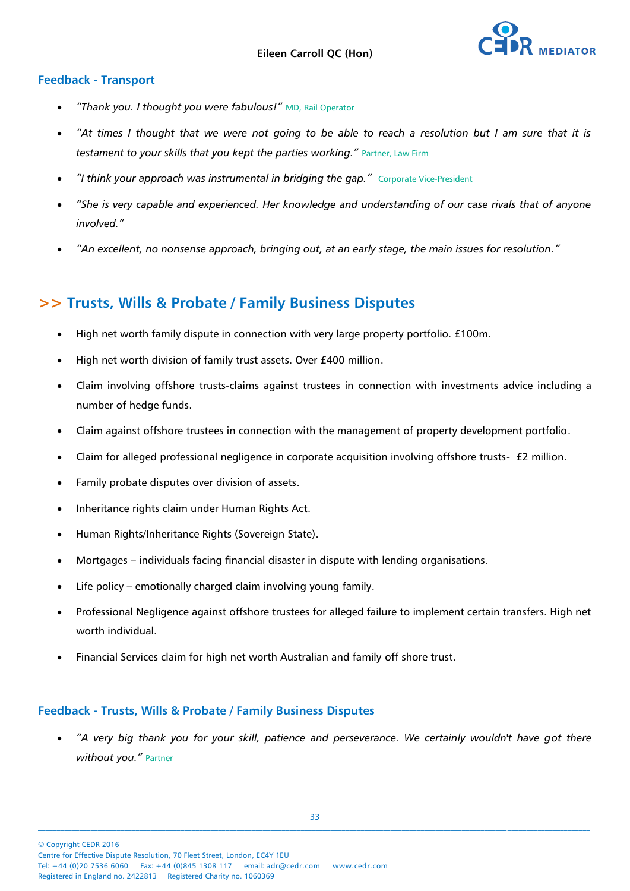

#### **Feedback - Transport**

- *"Thank you. I thought you were fabulous!"* MD, Rail Operator
- *"At times I thought that we were not going to be able to reach a resolution but I am sure that it is*  testament to your skills that you kept the parties working." Partner, Law Firm
- *"I think your approach was instrumental in bridging the gap."* Corporate Vice-President
- *"She is very capable and experienced. Her knowledge and understanding of our case rivals that of anyone involved."*
- *"An excellent, no nonsense approach, bringing out, at an early stage, the main issues for resolution."*

## **>> Trusts, Wills & Probate / Family Business Disputes**

- High net worth family dispute in connection with very large property portfolio. £100m.
- High net worth division of family trust assets. Over £400 million.
- Claim involving offshore trusts-claims against trustees in connection with investments advice including a number of hedge funds.
- Claim against offshore trustees in connection with the management of property development portfolio.
- Claim for alleged professional negligence in corporate acquisition involving offshore trusts- £2 million.
- Family probate disputes over division of assets.
- Inheritance rights claim under Human Rights Act.
- Human Rights/Inheritance Rights (Sovereign State).
- Mortgages individuals facing financial disaster in dispute with lending organisations.
- Life policy emotionally charged claim involving young family.
- Professional Negligence against offshore trustees for alleged failure to implement certain transfers. High net worth individual.
- Financial Services claim for high net worth Australian and family off shore trust.

#### **Feedback - Trusts, Wills & Probate / Family Business Disputes**

 *"A very big thank you for your skill, patience and perseverance. We certainly wouldn't have got there without you."* Partner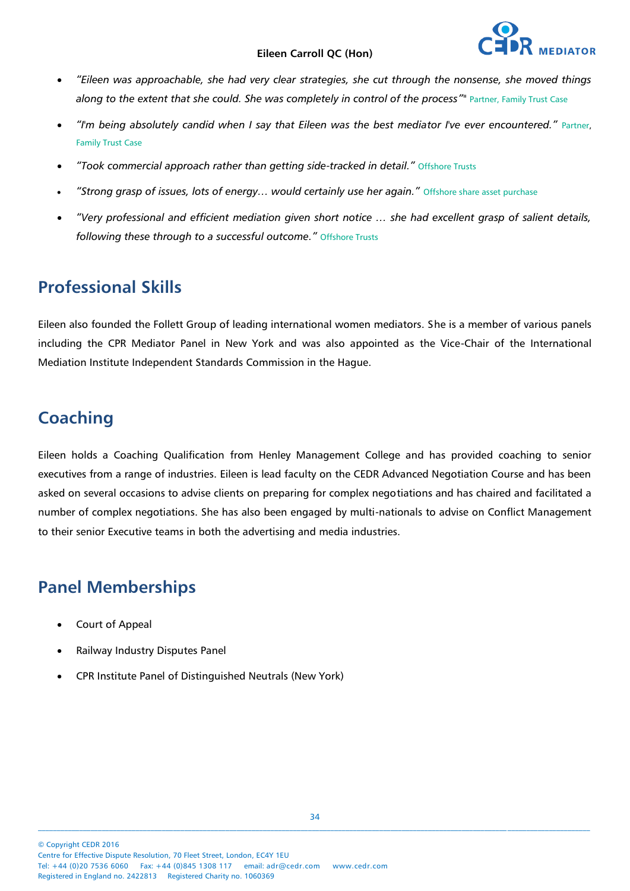- *"Eileen was approachable, she had very clear strategies, she cut through the nonsense, she moved things along to the extent that she could. She was completely in control of the process""* Partner, Family Trust Case
- *"I'm being absolutely candid when I say that Eileen was the best mediator I've ever encountered."* Partner, Family Trust Case
- *"Took commercial approach rather than getting side-tracked in detail."* Offshore Trusts
- *"Strong grasp of issues, lots of energy… would certainly use her again."* Offshore share asset purchase
- *"Very professional and efficient mediation given short notice … she had excellent grasp of salient details, following these through to a successful outcome."* Offshore Trusts

# **Professional Skills**

Eileen also founded the Follett Group of leading international women mediators. She is a member of various panels including the CPR Mediator Panel in New York and was also appointed as the Vice-Chair of the International Mediation Institute Independent Standards Commission in the Hague.

# **Coaching**

Eileen holds a Coaching Qualification from Henley Management College and has provided coaching to senior executives from a range of industries. Eileen is lead faculty on the CEDR Advanced Negotiation Course and has been asked on several occasions to advise clients on preparing for complex negotiations and has chaired and facilitated a number of complex negotiations. She has also been engaged by multi-nationals to advise on Conflict Management to their senior Executive teams in both the advertising and media industries.

# **Panel Memberships**

- Court of Appeal
- Railway Industry Disputes Panel
- CPR Institute Panel of Distinguished Neutrals (New York)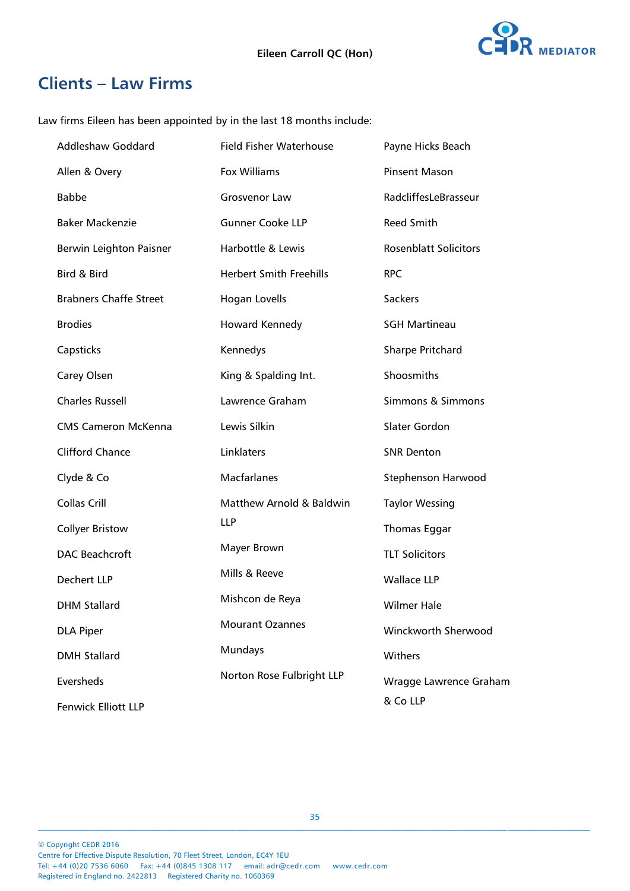

# **Clients – Law Firms**

Law firms Eileen has been appointed by in the last 18 months include:

| <b>Addleshaw Goddard</b>      | <b>Field Fisher Waterhouse</b> | Payne Hicks Beach            |
|-------------------------------|--------------------------------|------------------------------|
| Allen & Overy                 | <b>Fox Williams</b>            | <b>Pinsent Mason</b>         |
| <b>Babbe</b>                  | Grosvenor Law                  | RadcliffesLeBrasseur         |
| <b>Baker Mackenzie</b>        | <b>Gunner Cooke LLP</b>        | Reed Smith                   |
| Berwin Leighton Paisner       | Harbottle & Lewis              | <b>Rosenblatt Solicitors</b> |
| Bird & Bird                   | <b>Herbert Smith Freehills</b> | <b>RPC</b>                   |
| <b>Brabners Chaffe Street</b> | Hogan Lovells                  | Sackers                      |
| <b>Brodies</b>                | Howard Kennedy                 | <b>SGH Martineau</b>         |
| Capsticks                     | Kennedys                       | <b>Sharpe Pritchard</b>      |
| Carey Olsen                   | King & Spalding Int.           | Shoosmiths                   |
| <b>Charles Russell</b>        | Lawrence Graham                | Simmons & Simmons            |
| <b>CMS Cameron McKenna</b>    | Lewis Silkin                   | Slater Gordon                |
| Clifford Chance               | Linklaters                     | <b>SNR Denton</b>            |
| Clyde & Co                    | <b>Macfarlanes</b>             | Stephenson Harwood           |
| <b>Collas Crill</b>           | Matthew Arnold & Baldwin       | <b>Taylor Wessing</b>        |
| <b>Collyer Bristow</b>        | <b>LLP</b>                     | <b>Thomas Eggar</b>          |
| <b>DAC Beachcroft</b>         | Mayer Brown                    | <b>TLT Solicitors</b>        |
| Dechert LLP                   | Mills & Reeve                  | <b>Wallace LLP</b>           |
| <b>DHM Stallard</b>           | Mishcon de Reya                | <b>Wilmer Hale</b>           |
| <b>DLA Piper</b>              | <b>Mourant Ozannes</b>         | Winckworth Sherwood          |
| <b>DMH Stallard</b>           | Mundays                        | Withers                      |
| Eversheds                     | Norton Rose Fulbright LLP      | Wragge Lawrence Graham       |
| <b>Fenwick Elliott LLP</b>    |                                | & Co LLP                     |